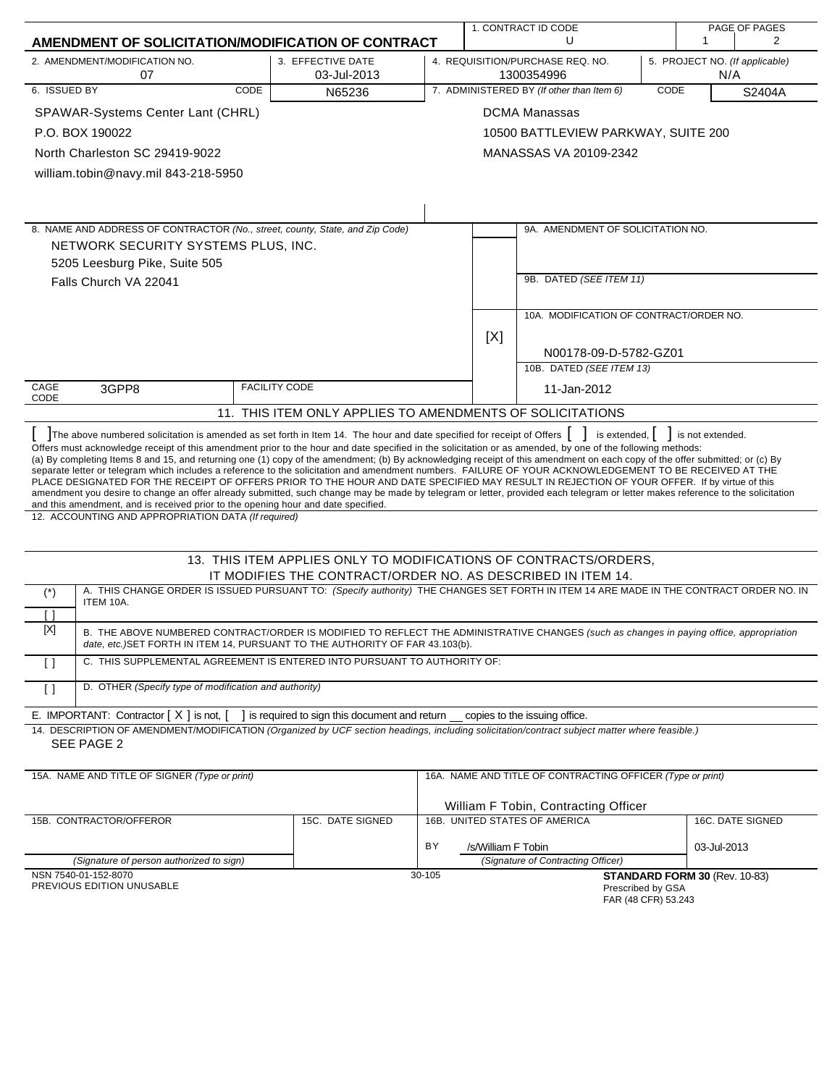|                                                                                                                                                                                                                                                                                                                                                                                                                                                                                                                                                                                                                                                                                                                                                                                                                                                                                                                             | 1. CONTRACT ID CODE                                                             |        |                                                                                         |                                                            | PAGE OF PAGES |                                             |                       |
|-----------------------------------------------------------------------------------------------------------------------------------------------------------------------------------------------------------------------------------------------------------------------------------------------------------------------------------------------------------------------------------------------------------------------------------------------------------------------------------------------------------------------------------------------------------------------------------------------------------------------------------------------------------------------------------------------------------------------------------------------------------------------------------------------------------------------------------------------------------------------------------------------------------------------------|---------------------------------------------------------------------------------|--------|-----------------------------------------------------------------------------------------|------------------------------------------------------------|---------------|---------------------------------------------|-----------------------|
| AMENDMENT OF SOLICITATION/MODIFICATION OF CONTRACT                                                                                                                                                                                                                                                                                                                                                                                                                                                                                                                                                                                                                                                                                                                                                                                                                                                                          |                                                                                 |        |                                                                                         | U                                                          |               | 1                                           | $\mathbf{2}^{\prime}$ |
| 2. AMENDMENT/MODIFICATION NO.<br>07                                                                                                                                                                                                                                                                                                                                                                                                                                                                                                                                                                                                                                                                                                                                                                                                                                                                                         | 3. EFFECTIVE DATE<br>03-Jul-2013                                                |        | 4. REQUISITION/PURCHASE REQ. NO.<br>5. PROJECT NO. (If applicable)<br>1300354996<br>N/A |                                                            |               |                                             |                       |
| 6. ISSUED BY<br><b>CODE</b>                                                                                                                                                                                                                                                                                                                                                                                                                                                                                                                                                                                                                                                                                                                                                                                                                                                                                                 | N65236                                                                          |        |                                                                                         | 7. ADMINISTERED BY (If other than Item 6)                  | CODE          |                                             | S2404A                |
| SPAWAR-Systems Center Lant (CHRL)                                                                                                                                                                                                                                                                                                                                                                                                                                                                                                                                                                                                                                                                                                                                                                                                                                                                                           |                                                                                 |        |                                                                                         | <b>DCMA Manassas</b>                                       |               |                                             |                       |
| P.O. BOX 190022                                                                                                                                                                                                                                                                                                                                                                                                                                                                                                                                                                                                                                                                                                                                                                                                                                                                                                             |                                                                                 |        |                                                                                         | 10500 BATTLEVIEW PARKWAY, SUITE 200                        |               |                                             |                       |
| North Charleston SC 29419-9022                                                                                                                                                                                                                                                                                                                                                                                                                                                                                                                                                                                                                                                                                                                                                                                                                                                                                              |                                                                                 |        |                                                                                         | MANASSAS VA 20109-2342                                     |               |                                             |                       |
| william.tobin@navy.mil 843-218-5950                                                                                                                                                                                                                                                                                                                                                                                                                                                                                                                                                                                                                                                                                                                                                                                                                                                                                         |                                                                                 |        |                                                                                         |                                                            |               |                                             |                       |
|                                                                                                                                                                                                                                                                                                                                                                                                                                                                                                                                                                                                                                                                                                                                                                                                                                                                                                                             |                                                                                 |        |                                                                                         |                                                            |               |                                             |                       |
|                                                                                                                                                                                                                                                                                                                                                                                                                                                                                                                                                                                                                                                                                                                                                                                                                                                                                                                             |                                                                                 |        |                                                                                         |                                                            |               |                                             |                       |
| 8. NAME AND ADDRESS OF CONTRACTOR (No., street, county, State, and Zip Code)                                                                                                                                                                                                                                                                                                                                                                                                                                                                                                                                                                                                                                                                                                                                                                                                                                                |                                                                                 |        |                                                                                         | 9A. AMENDMENT OF SOLICITATION NO.                          |               |                                             |                       |
| NETWORK SECURITY SYSTEMS PLUS, INC.                                                                                                                                                                                                                                                                                                                                                                                                                                                                                                                                                                                                                                                                                                                                                                                                                                                                                         |                                                                                 |        |                                                                                         |                                                            |               |                                             |                       |
| 5205 Leesburg Pike, Suite 505                                                                                                                                                                                                                                                                                                                                                                                                                                                                                                                                                                                                                                                                                                                                                                                                                                                                                               |                                                                                 |        |                                                                                         |                                                            |               |                                             |                       |
| Falls Church VA 22041                                                                                                                                                                                                                                                                                                                                                                                                                                                                                                                                                                                                                                                                                                                                                                                                                                                                                                       |                                                                                 |        |                                                                                         | 9B. DATED (SEE ITEM 11)                                    |               |                                             |                       |
|                                                                                                                                                                                                                                                                                                                                                                                                                                                                                                                                                                                                                                                                                                                                                                                                                                                                                                                             |                                                                                 |        |                                                                                         | 10A. MODIFICATION OF CONTRACT/ORDER NO.                    |               |                                             |                       |
|                                                                                                                                                                                                                                                                                                                                                                                                                                                                                                                                                                                                                                                                                                                                                                                                                                                                                                                             |                                                                                 |        | [X]                                                                                     |                                                            |               |                                             |                       |
|                                                                                                                                                                                                                                                                                                                                                                                                                                                                                                                                                                                                                                                                                                                                                                                                                                                                                                                             |                                                                                 |        |                                                                                         | N00178-09-D-5782-GZ01                                      |               |                                             |                       |
|                                                                                                                                                                                                                                                                                                                                                                                                                                                                                                                                                                                                                                                                                                                                                                                                                                                                                                                             |                                                                                 |        |                                                                                         | 10B. DATED (SEE ITEM 13)                                   |               |                                             |                       |
| CAGE<br>3GPP8<br>CODE                                                                                                                                                                                                                                                                                                                                                                                                                                                                                                                                                                                                                                                                                                                                                                                                                                                                                                       | <b>FACILITY CODE</b>                                                            |        |                                                                                         | 11-Jan-2012                                                |               |                                             |                       |
|                                                                                                                                                                                                                                                                                                                                                                                                                                                                                                                                                                                                                                                                                                                                                                                                                                                                                                                             | 11. THIS ITEM ONLY APPLIES TO AMENDMENTS OF SOLICITATIONS                       |        |                                                                                         |                                                            |               |                                             |                       |
| The above numbered solicitation is amended as set forth in Item 14. The hour and date specified for receipt of Offers                                                                                                                                                                                                                                                                                                                                                                                                                                                                                                                                                                                                                                                                                                                                                                                                       |                                                                                 |        |                                                                                         |                                                            |               | is extended, $\vert \vert$ is not extended. |                       |
| Offers must acknowledge receipt of this amendment prior to the hour and date specified in the solicitation or as amended, by one of the following methods:<br>(a) By completing Items 8 and 15, and returning one (1) copy of the amendment; (b) By acknowledging receipt of this amendment on each copy of the offer submitted; or (c) By<br>separate letter or telegram which includes a reference to the solicitation and amendment numbers. FAILURE OF YOUR ACKNOWLEDGEMENT TO BE RECEIVED AT THE<br>PLACE DESIGNATED FOR THE RECEIPT OF OFFERS PRIOR TO THE HOUR AND DATE SPECIFIED MAY RESULT IN REJECTION OF YOUR OFFER. If by virtue of this<br>amendment you desire to change an offer already submitted, such change may be made by telegram or letter, provided each telegram or letter makes reference to the solicitation<br>and this amendment, and is received prior to the opening hour and date specified. |                                                                                 |        |                                                                                         |                                                            |               |                                             |                       |
| 12. ACCOUNTING AND APPROPRIATION DATA (If required)                                                                                                                                                                                                                                                                                                                                                                                                                                                                                                                                                                                                                                                                                                                                                                                                                                                                         |                                                                                 |        |                                                                                         |                                                            |               |                                             |                       |
|                                                                                                                                                                                                                                                                                                                                                                                                                                                                                                                                                                                                                                                                                                                                                                                                                                                                                                                             | 13. THIS ITEM APPLIES ONLY TO MODIFICATIONS OF CONTRACTS/ORDERS,                |        |                                                                                         |                                                            |               |                                             |                       |
|                                                                                                                                                                                                                                                                                                                                                                                                                                                                                                                                                                                                                                                                                                                                                                                                                                                                                                                             | IT MODIFIES THE CONTRACT/ORDER NO. AS DESCRIBED IN ITEM 14.                     |        |                                                                                         |                                                            |               |                                             |                       |
| A. THIS CHANGE ORDER IS ISSUED PURSUANT TO: (Specify authority) THE CHANGES SET FORTH IN ITEM 14 ARE MADE IN THE CONTRACT ORDER NO. IN<br>$(\dot{\phantom{a}})$<br>ITEM 10A.<br>Γl                                                                                                                                                                                                                                                                                                                                                                                                                                                                                                                                                                                                                                                                                                                                          |                                                                                 |        |                                                                                         |                                                            |               |                                             |                       |
| [X]<br>B. THE ABOVE NUMBERED CONTRACT/ORDER IS MODIFIED TO REFLECT THE ADMINISTRATIVE CHANGES (such as changes in paying office, appropriation                                                                                                                                                                                                                                                                                                                                                                                                                                                                                                                                                                                                                                                                                                                                                                              |                                                                                 |        |                                                                                         |                                                            |               |                                             |                       |
| date, etc.) SET FORTH IN ITEM 14, PURSUANT TO THE AUTHORITY OF FAR 43.103(b).                                                                                                                                                                                                                                                                                                                                                                                                                                                                                                                                                                                                                                                                                                                                                                                                                                               |                                                                                 |        |                                                                                         |                                                            |               |                                             |                       |
| C. THIS SUPPLEMENTAL AGREEMENT IS ENTERED INTO PURSUANT TO AUTHORITY OF:<br>$\Box$                                                                                                                                                                                                                                                                                                                                                                                                                                                                                                                                                                                                                                                                                                                                                                                                                                          |                                                                                 |        |                                                                                         |                                                            |               |                                             |                       |
| D. OTHER (Specify type of modification and authority)<br>$\lceil$ $\rceil$                                                                                                                                                                                                                                                                                                                                                                                                                                                                                                                                                                                                                                                                                                                                                                                                                                                  |                                                                                 |        |                                                                                         |                                                            |               |                                             |                       |
| E. IMPORTANT: Contractor $[X]$ is not, $[$                                                                                                                                                                                                                                                                                                                                                                                                                                                                                                                                                                                                                                                                                                                                                                                                                                                                                  | ] is required to sign this document and return __ copies to the issuing office. |        |                                                                                         |                                                            |               |                                             |                       |
| 14. DESCRIPTION OF AMENDMENT/MODIFICATION (Organized by UCF section headings, including solicitation/contract subject matter where feasible.)<br>SEE PAGE 2                                                                                                                                                                                                                                                                                                                                                                                                                                                                                                                                                                                                                                                                                                                                                                 |                                                                                 |        |                                                                                         |                                                            |               |                                             |                       |
| 15A. NAME AND TITLE OF SIGNER (Type or print)                                                                                                                                                                                                                                                                                                                                                                                                                                                                                                                                                                                                                                                                                                                                                                                                                                                                               |                                                                                 |        |                                                                                         | 16A. NAME AND TITLE OF CONTRACTING OFFICER (Type or print) |               |                                             |                       |
|                                                                                                                                                                                                                                                                                                                                                                                                                                                                                                                                                                                                                                                                                                                                                                                                                                                                                                                             |                                                                                 |        |                                                                                         | William F Tobin, Contracting Officer                       |               |                                             |                       |
| 15B. CONTRACTOR/OFFEROR                                                                                                                                                                                                                                                                                                                                                                                                                                                                                                                                                                                                                                                                                                                                                                                                                                                                                                     | 15C. DATE SIGNED                                                                |        |                                                                                         | 16B. UNITED STATES OF AMERICA                              |               |                                             | 16C. DATE SIGNED      |
|                                                                                                                                                                                                                                                                                                                                                                                                                                                                                                                                                                                                                                                                                                                                                                                                                                                                                                                             |                                                                                 | BY     | /s/William F Tobin                                                                      |                                                            |               | 03-Jul-2013                                 |                       |
| (Signature of person authorized to sign)                                                                                                                                                                                                                                                                                                                                                                                                                                                                                                                                                                                                                                                                                                                                                                                                                                                                                    |                                                                                 |        |                                                                                         | (Signature of Contracting Officer)                         |               |                                             |                       |
| NSN 7540-01-152-8070<br>PREVIOUS EDITION UNUSABLE                                                                                                                                                                                                                                                                                                                                                                                                                                                                                                                                                                                                                                                                                                                                                                                                                                                                           |                                                                                 | 30-105 |                                                                                         | Prescribed by GSA<br>$FAP$ (AR CER) 53 243                 |               | STANDARD FORM 30 (Rev. 10-83)               |                       |

FAR (48 CFR) 53.243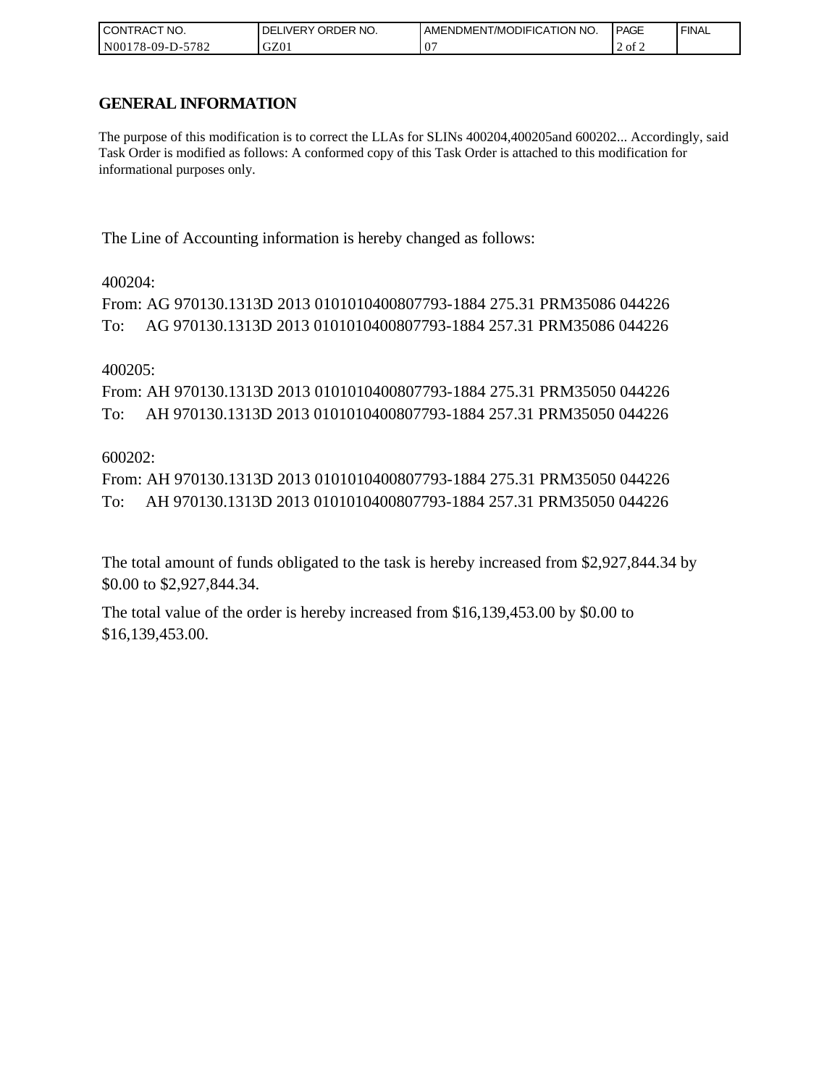| I CONTRACT NO.   | NO.<br>ORDER<br><b>DELIVERY</b> | AMENDMENT/MODIFICATION NO. | I PAGE | ' FINAL |
|------------------|---------------------------------|----------------------------|--------|---------|
| N00178-09-D-5782 | GZ01                            | ∩′                         | 2 of 2 |         |

# **GENERAL INFORMATION**

The purpose of this modification is to correct the LLAs for SLINs 400204,400205and 600202... Accordingly, said Task Order is modified as follows: A conformed copy of this Task Order is attached to this modification for informational purposes only.

The Line of Accounting information is hereby changed as follows:

# 400204:

```
From: AG 970130.1313D 2013 0101010400807793-1884 275.31 PRM35086 044226
To: AG 970130.1313D 2013 0101010400807793-1884 257.31 PRM35086 044226
```
# 400205:

From: AH 970130.1313D 2013 0101010400807793-1884 275.31 PRM35050 044226 To: AH 970130.1313D 2013 0101010400807793-1884 257.31 PRM35050 044226

# 600202:

From: AH 970130.1313D 2013 0101010400807793-1884 275.31 PRM35050 044226 To: AH 970130.1313D 2013 0101010400807793-1884 257.31 PRM35050 044226

The total amount of funds obligated to the task is hereby increased from \$2,927,844.34 by \$0.00 to \$2,927,844.34.

The total value of the order is hereby increased from \$16,139,453.00 by \$0.00 to \$16,139,453.00.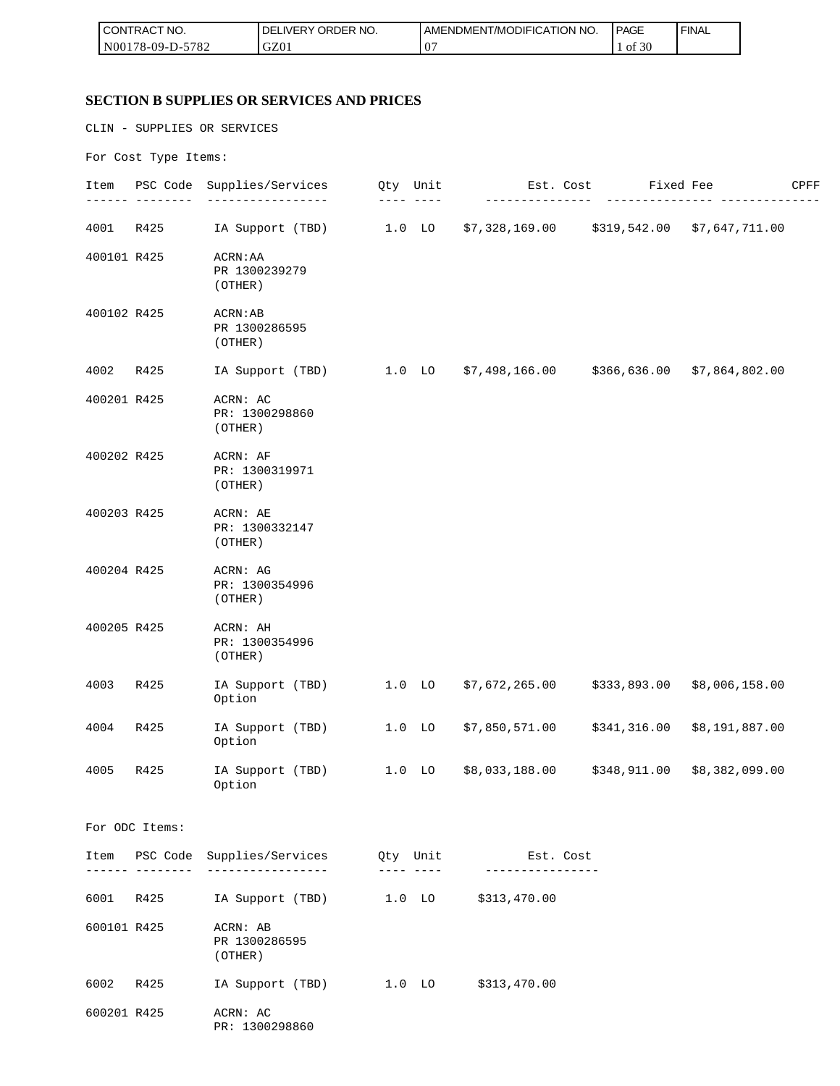| l CON<br>CT NO.<br><b>RAC</b>  | <b>ORDER</b><br>NO.<br><b>NERY</b> | T/MODIFICATION NO.<br>AMEND<br><b>JMFN</b> | PAGE<br>$\sim$ $\sim$    | <b>FINAL</b> |
|--------------------------------|------------------------------------|--------------------------------------------|--------------------------|--------------|
| N00<br>5700<br>8-09-D-1<br>ے ہ | GZ01                               | $0^{\circ}$                                | $c \cap c$<br>ΟĪ<br>. JV |              |

# **SECTION B SUPPLIES OR SERVICES AND PRICES**

CLIN - SUPPLIES OR SERVICES

For Cost Type Items:

| Item        |                 | PSC Code Supplies/Services                               | Qty Unit          | Est. Cost                                     |              | Fixed Fee      | CPFF |
|-------------|-----------------|----------------------------------------------------------|-------------------|-----------------------------------------------|--------------|----------------|------|
| 4001        | R425            | IA Support (TBD)                                         | $1.0$ LO          | $$7,328,169.00$ $$319,542.00$ $$7,647,711.00$ |              |                |      |
| 400101 R425 |                 | ACRN: AA<br>PR 1300239279<br>(OTHER)                     |                   |                                               |              |                |      |
| 400102 R425 |                 | ACRN:AB<br>PR 1300286595<br>(OTHER)                      |                   |                                               |              |                |      |
| 4002        | R425            | IA Support (TBD)                                         | $1.0$ LO          | \$7,498,166.00                                | \$366,636.00 | \$7,864,802.00 |      |
| 400201 R425 |                 | ACRN: AC<br>PR: 1300298860<br>(OTHER)                    |                   |                                               |              |                |      |
| 400202 R425 |                 | ACRN: AF<br>PR: 1300319971<br>(OTHER)                    |                   |                                               |              |                |      |
| 400203 R425 |                 | ACRN: AE<br>PR: 1300332147<br>(OTHER)                    |                   |                                               |              |                |      |
| 400204 R425 |                 | ACRN: AG<br>PR: 1300354996<br>(OTHER)                    |                   |                                               |              |                |      |
| 400205 R425 |                 | ACRN: AH<br>PR: 1300354996<br>(OTHER)                    |                   |                                               |              |                |      |
| 4003        | R425            | IA Support (TBD)<br>Option                               | 1.0 <sub>LO</sub> | \$7,672,265.00                                | \$333,893.00 | \$8,006,158.00 |      |
| 4004        | R425            | IA Support (TBD)<br>Option                               | $1.0$ LO          | \$7,850,571.00                                | \$341,316.00 | \$8,191,887.00 |      |
| 4005        | R425            | IA Support (TBD)<br>Option                               | $1.0$ LO          | \$8,033,188.00                                | \$348,911.00 | \$8,382,099.00 |      |
|             | For ODC Items:  |                                                          |                   |                                               |              |                |      |
|             |                 | Item PSC Code Supplies/Services Qty Unit 1995. Est. Cost |                   |                                               |              |                |      |
|             | ----- --------- | ___________________                                      |                   | ____ ____ _ _ ________________                |              |                |      |
|             | 6001 R425       | IA Support (TBD)                                         | $1.0$ lo          | \$313,470.00                                  |              |                |      |
| 600101 R425 |                 | ACRN: AB<br>PR 1300286595<br>(OTHER)                     |                   |                                               |              |                |      |
|             |                 | 6002 R425 IA Support (TBD) 1.0 LO \$313,470.00           |                   |                                               |              |                |      |
| 600201 R425 |                 | ACRN: AC<br>PR: 1300298860                               |                   |                                               |              |                |      |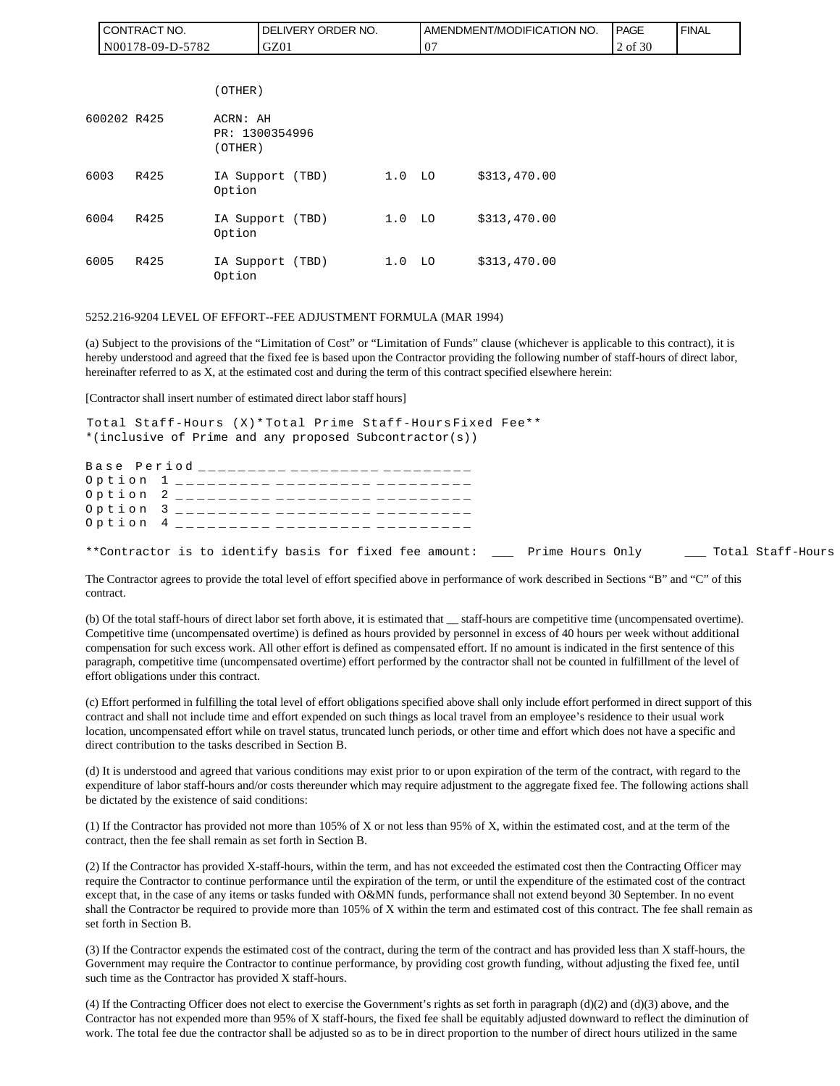|      | I CONTRACT NO.   |                                       |      | DELIVERY ORDER NO. |                   |    | AMENDMENT/MODIFICATION NO. | <b>PAGE</b> | <b>FINAL</b> |
|------|------------------|---------------------------------------|------|--------------------|-------------------|----|----------------------------|-------------|--------------|
|      | N00178-09-D-5782 |                                       | GZ01 |                    |                   | 07 |                            | 2 of 30     |              |
|      |                  |                                       |      |                    |                   |    |                            |             |              |
|      |                  | (OTHER)                               |      |                    |                   |    |                            |             |              |
|      | 600202 R425      | ACRN: AH<br>PR: 1300354996<br>(OTHER) |      |                    |                   |    |                            |             |              |
| 6003 | R425             | IA Support (TBD)<br>Option            |      |                    | 1.0 <sub>LO</sub> |    | \$313,470.00               |             |              |
| 6004 | R425             | IA Support (TBD)<br>Option            |      |                    | 1.0 <sub>LO</sub> |    | \$313,470.00               |             |              |
| 6005 | R425             | IA Support (TBD)<br>Option            |      |                    | 1.0 <sub>LO</sub> |    | \$313,470.00               |             |              |

#### 5252.216-9204 LEVEL OF EFFORT--FEE ADJUSTMENT FORMULA (MAR 1994)

(a) Subject to the provisions of the "Limitation of Cost" or "Limitation of Funds" clause (whichever is applicable to this contract), it is hereby understood and agreed that the fixed fee is based upon the Contractor providing the following number of staff-hours of direct labor, hereinafter referred to as X, at the estimated cost and during the term of this contract specified elsewhere herein:

[Contractor shall insert number of estimated direct labor staff hours]

Total Staff-Hours (X)\* Total Prime Staff-Hours Fixed Fee\*\* \*(inclusive of Prime and any proposed Subcontractor(s))

Base Period \_\_\_\_\_\_\_\_\_ \_\_\_\_\_\_\_\_\_ \_\_\_\_\_ Option 1 \_\_\_\_\_\_\_\_\_ \_\_\_\_\_\_\_\_\_ \_\_\_\_\_\_\_ Option 2 \_\_\_\_\_\_\_\_\_ \_\_\_\_\_\_\_\_\_ \_\_\_\_\_\_ Option 3 \_\_\_\_\_\_\_\_\_ \_\_\_\_\_\_\_\_\_ \_\_\_\_\_\_\_ Option 4 \_\_\_\_\_\_\_\_\_ \_\_\_\_\_\_\_\_\_ \_\_\_\_\_\_\_ \*\*Contractor is to identify basis for fixed fee amount: \_\_\_ Prime Hours Only \_\_\_ Total Staff-Hours

The Contractor agrees to provide the total level of effort specified above in performance of work described in Sections "B" and "C" of this contract.

(b) Of the total staff-hours of direct labor set forth above, it is estimated that \_\_ staff-hours are competitive time (uncompensated overtime). Competitive time (uncompensated overtime) is defined as hours provided by personnel in excess of 40 hours per week without additional compensation for such excess work. All other effort is defined as compensated effort. If no amount is indicated in the first sentence of this paragraph, competitive time (uncompensated overtime) effort performed by the contractor shall not be counted in fulfillment of the level of effort obligations under this contract.

(c) Effort performed in fulfilling the total level of effort obligations specified above shall only include effort performed in direct support of this contract and shall not include time and effort expended on such things as local travel from an employee's residence to their usual work location, uncompensated effort while on travel status, truncated lunch periods, or other time and effort which does not have a specific and direct contribution to the tasks described in Section B.

(d) It is understood and agreed that various conditions may exist prior to or upon expiration of the term of the contract, with regard to the expenditure of labor staff-hours and/or costs thereunder which may require adjustment to the aggregate fixed fee. The following actions shall be dictated by the existence of said conditions:

(1) If the Contractor has provided not more than 105% of X or not less than 95% of X, within the estimated cost, and at the term of the contract, then the fee shall remain as set forth in Section B.

(2) If the Contractor has provided X-staff-hours, within the term, and has not exceeded the estimated cost then the Contracting Officer may require the Contractor to continue performance until the expiration of the term, or until the expenditure of the estimated cost of the contract except that, in the case of any items or tasks funded with O&MN funds, performance shall not extend beyond 30 September. In no event shall the Contractor be required to provide more than 105% of X within the term and estimated cost of this contract. The fee shall remain as set forth in Section B.

(3) If the Contractor expends the estimated cost of the contract, during the term of the contract and has provided less than X staff-hours, the Government may require the Contractor to continue performance, by providing cost growth funding, without adjusting the fixed fee, until such time as the Contractor has provided X staff-hours.

(4) If the Contracting Officer does not elect to exercise the Government's rights as set forth in paragraph (d)(2) and (d)(3) above, and the Contractor has not expended more than 95% of X staff-hours, the fixed fee shall be equitably adjusted downward to reflect the diminution of work. The total fee due the contractor shall be adjusted so as to be in direct proportion to the number of direct hours utilized in the same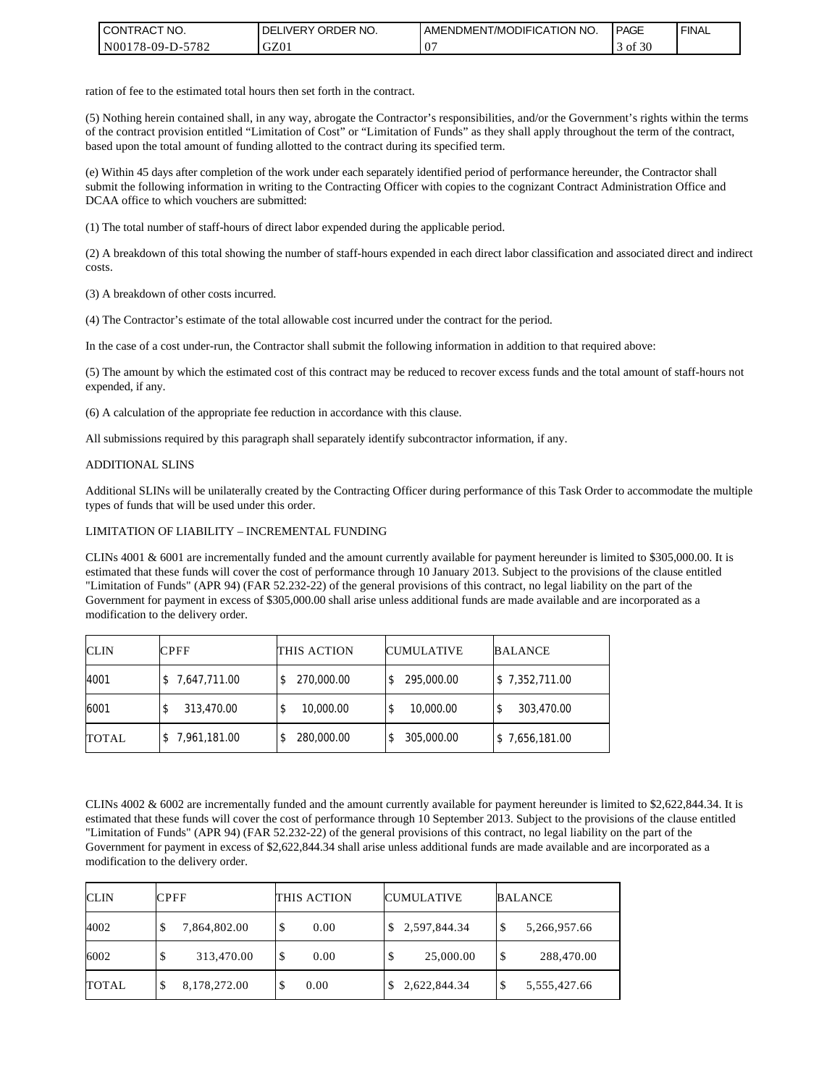| <b>CONTRACT NO.</b>    | NO.<br>' ORDER<br><b>DELIVERY</b> | AMENDMENT/MODIFICATION NO. | PAGE             | ' FINAL |
|------------------------|-----------------------------------|----------------------------|------------------|---------|
| N00178-09-D-5<br>-5782 | GZ01                              | 00                         | $^{\circ}$ of 30 |         |

ration of fee to the estimated total hours then set forth in the contract.

(5) Nothing herein contained shall, in any way, abrogate the Contractor's responsibilities, and/or the Government's rights within the terms of the contract provision entitled "Limitation of Cost" or "Limitation of Funds" as they shall apply throughout the term of the contract, based upon the total amount of funding allotted to the contract during its specified term.

(e) Within 45 days after completion of the work under each separately identified period of performance hereunder, the Contractor shall submit the following information in writing to the Contracting Officer with copies to the cognizant Contract Administration Office and DCAA office to which vouchers are submitted:

(1) The total number of staff-hours of direct labor expended during the applicable period.

(2) A breakdown of this total showing the number of staff-hours expended in each direct labor classification and associated direct and indirect costs.

(3) A breakdown of other costs incurred.

(4) The Contractor's estimate of the total allowable cost incurred under the contract for the period.

In the case of a cost under-run, the Contractor shall submit the following information in addition to that required above:

(5) The amount by which the estimated cost of this contract may be reduced to recover excess funds and the total amount of staff-hours not expended, if any.

(6) A calculation of the appropriate fee reduction in accordance with this clause.

All submissions required by this paragraph shall separately identify subcontractor information, if any.

#### ADDITIONAL SLINS

Additional SLINs will be unilaterally created by the Contracting Officer during performance of this Task Order to accommodate the multiple types of funds that will be used under this order.

#### LIMITATION OF LIABILITY – INCREMENTAL FUNDING

CLINs 4001 & 6001 are incrementally funded and the amount currently available for payment hereunder is limited to \$305,000.00. It is estimated that these funds will cover the cost of performance through 10 January 2013. Subject to the provisions of the clause entitled "Limitation of Funds" (APR 94) (FAR 52.232-22) of the general provisions of this contract, no legal liability on the part of the Government for payment in excess of \$305,000.00 shall arise unless additional funds are made available and are incorporated as a modification to the delivery order.

| <b>CLIN</b>  | <b>CPFF</b>    | THIS ACTION     | <b>CUMULATIVE</b> | <b>BALANCE</b> |
|--------------|----------------|-----------------|-------------------|----------------|
| 4001         | \$7,647,711.00 | 270,000.00      | 295,000.00        | \$7,352,711.00 |
| 6001         | 313,470.00     | 10,000.00<br>\$ | 10,000.00         | 303,470.00     |
| <b>TOTAL</b> | 7,961,181.00   | 280,000.00<br>S | 305,000.00        | \$7,656,181.00 |

CLINs 4002 & 6002 are incrementally funded and the amount currently available for payment hereunder is limited to \$2,622,844.34. It is estimated that these funds will cover the cost of performance through 10 September 2013. Subject to the provisions of the clause entitled "Limitation of Funds" (APR 94) (FAR 52.232-22) of the general provisions of this contract, no legal liability on the part of the Government for payment in excess of \$2,622,844.34 shall arise unless additional funds are made available and are incorporated as a modification to the delivery order.

| <b>CLIN</b>  | CPFF              | THIS ACTION | <b>CUMULATIVE</b> | <b>BALANCE</b>     |  |
|--------------|-------------------|-------------|-------------------|--------------------|--|
| 4002         | 7,864,802.00<br>◡ | 0.00        | \$2,597,844.34    | \$<br>5,266,957.66 |  |
| 6002         | 313,470.00        | 0.00        | 25,000.00         | \$<br>288,470.00   |  |
| <b>TOTAL</b> | 8,178,272.00      | 0.00        | 2,622,844.34      | \$<br>5,555,427.66 |  |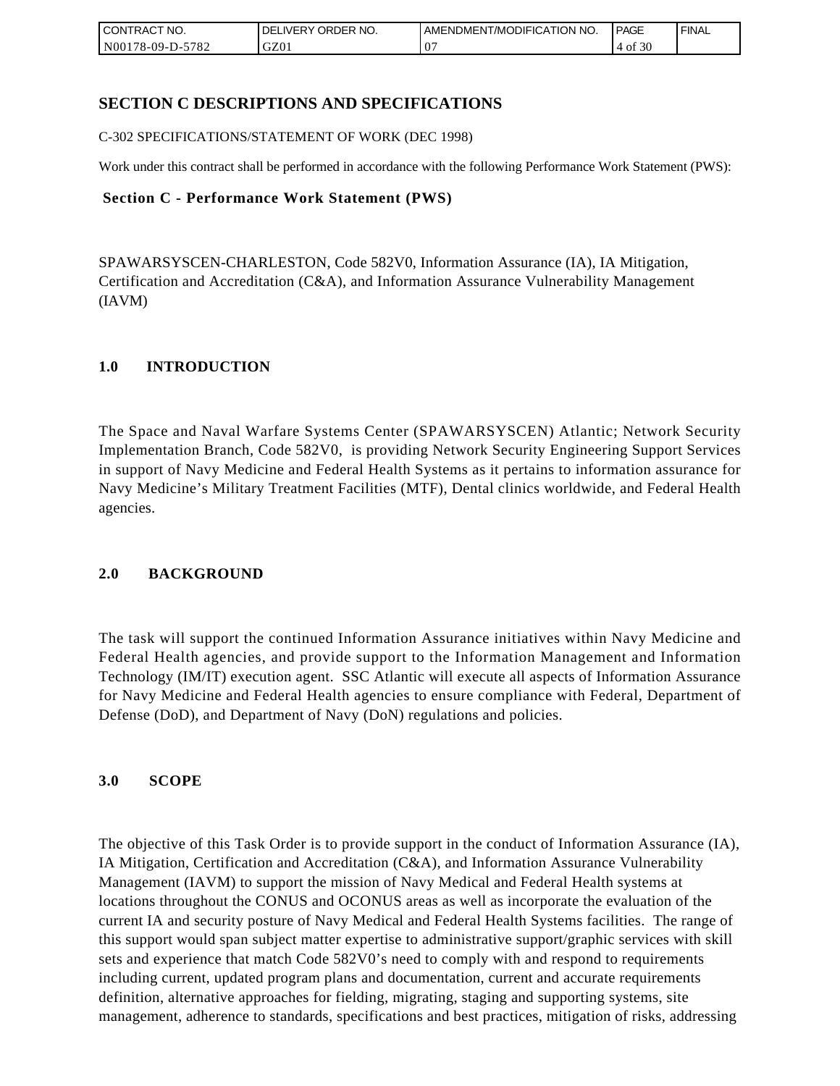| <b>CONTRACT NO.</b> | ORDER <sup>'</sup><br>NO.<br><b>DELIVERY</b> | AMENDMENT/MODIFICATION NO. | <b>PAGE</b>  | ' FINAL |
|---------------------|----------------------------------------------|----------------------------|--------------|---------|
| N00178-09-D-5782    | GZ01                                         | ω-                         | f 30<br>4 of |         |

# **SECTION C DESCRIPTIONS AND SPECIFICATIONS**

C-302 SPECIFICATIONS/STATEMENT OF WORK (DEC 1998)

Work under this contract shall be performed in accordance with the following Performance Work Statement (PWS):

### **Section C - Performance Work Statement (PWS)**

SPAWARSYSCEN-CHARLESTON, Code 582V0, Information Assurance (IA), IA Mitigation, Certification and Accreditation (C&A), and Information Assurance Vulnerability Management (IAVM)

### **1.0 INTRODUCTION**

The Space and Naval Warfare Systems Center (SPAWARSYSCEN) Atlantic; Network Security Implementation Branch, Code 582V0, is providing Network Security Engineering Support Services in support of Navy Medicine and Federal Health Systems as it pertains to information assurance for Navy Medicine's Military Treatment Facilities (MTF), Dental clinics worldwide, and Federal Health agencies.

### **2.0 BACKGROUND**

The task will support the continued Information Assurance initiatives within Navy Medicine and Federal Health agencies, and provide support to the Information Management and Information Technology (IM/IT) execution agent. SSC Atlantic will execute all aspects of Information Assurance for Navy Medicine and Federal Health agencies to ensure compliance with Federal, Department of Defense (DoD), and Department of Navy (DoN) regulations and policies.

### **3.0 SCOPE**

The objective of this Task Order is to provide support in the conduct of Information Assurance (IA), IA Mitigation, Certification and Accreditation (C&A), and Information Assurance Vulnerability Management (IAVM) to support the mission of Navy Medical and Federal Health systems at locations throughout the CONUS and OCONUS areas as well as incorporate the evaluation of the current IA and security posture of Navy Medical and Federal Health Systems facilities. The range of this support would span subject matter expertise to administrative support/graphic services with skill sets and experience that match Code 582V0's need to comply with and respond to requirements including current, updated program plans and documentation, current and accurate requirements definition, alternative approaches for fielding, migrating, staging and supporting systems, site management, adherence to standards, specifications and best practices, mitigation of risks, addressing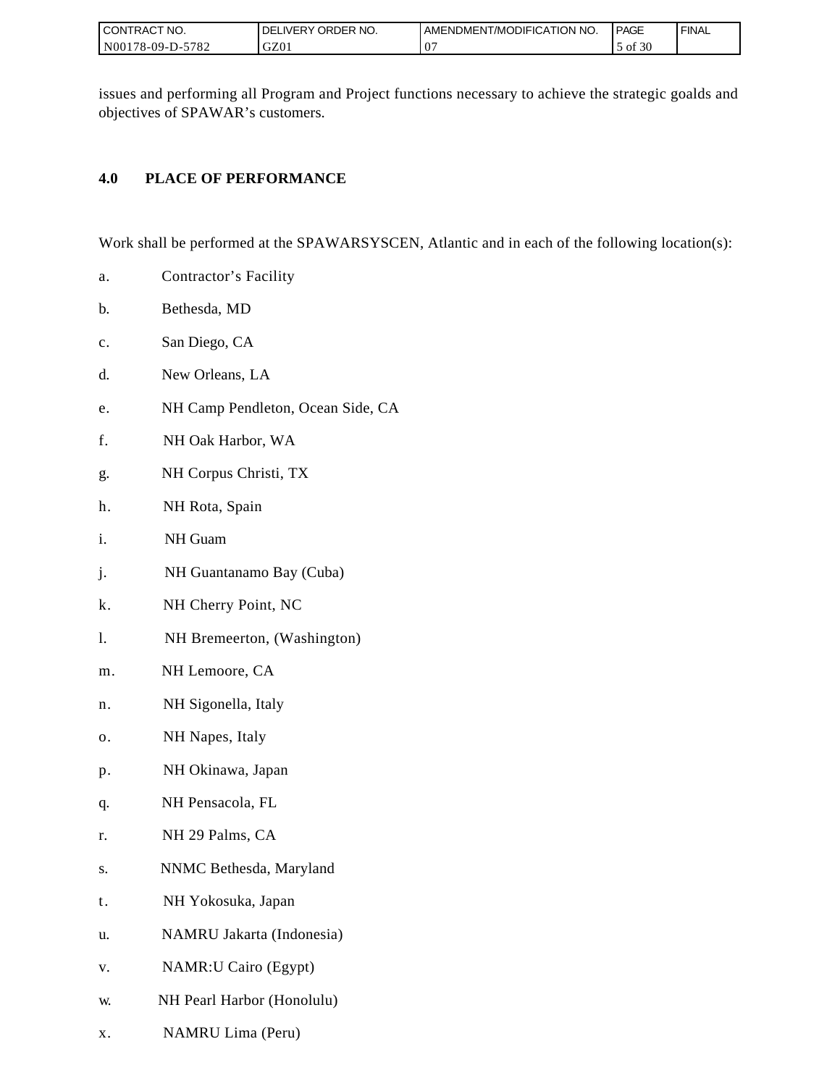| I CONTRACT NO.           | ORDER NO.<br>DELIVERY . | I AMENDMENT/MODIFICATION NO. | PAGE       | ' FINAL |
|--------------------------|-------------------------|------------------------------|------------|---------|
| N00178-09-D-5<br>$-5782$ | GZ01                    | v                            | f 30<br>0Ī |         |

issues and performing all Program and Project functions necessary to achieve the strategic goalds and objectives of SPAWAR's customers.

# **4.0 PLACE OF PERFORMANCE**

Work shall be performed at the SPAWARSYSCEN, Atlantic and in each of the following location(s):

- a. Contractor's Facility
- b. Bethesda, MD
- c. San Diego, CA
- d. New Orleans, LA
- e. NH Camp Pendleton, Ocean Side, CA
- f. NH Oak Harbor, WA
- g. NH Corpus Christi, TX
- h. NH Rota, Spain
- i. NH Guam
- j. NH Guantanamo Bay (Cuba)
- k. NH Cherry Point, NC
- l. NH Bremeerton, (Washington)
- m. NH Lemoore, CA
- n. NH Sigonella, Italy
- o. NH Napes, Italy
- p. NH Okinawa, Japan
- q. NH Pensacola, FL
- r. NH 29 Palms, CA
- s. NNMC Bethesda, Maryland
- t. NH Yokosuka, Japan
- u. NAMRU Jakarta (Indonesia)
- v. NAMR:U Cairo (Egypt)
- w. NH Pearl Harbor (Honolulu)
- x. NAMRU Lima (Peru)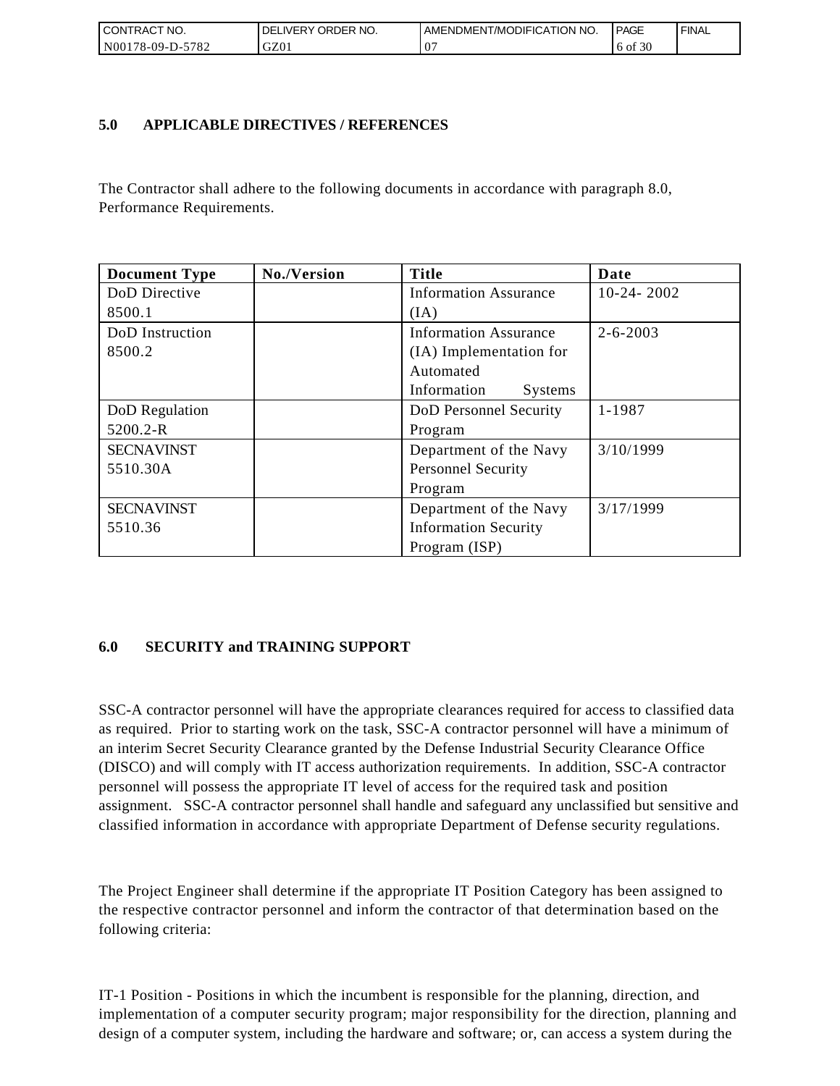| <b>CONTRACT NO.</b>                             | ' ORDER NO.<br><b>DELIVERY</b> | AMENDMENT/MODIFICATION NO. | <b>PAGE</b> | ' FINAL |
|-------------------------------------------------|--------------------------------|----------------------------|-------------|---------|
| N <sub>00</sub><br>-5782<br>$2178 - 09 - D - 5$ | GZ01                           | ω-                         | 6 of 30     |         |

## **5.0 APPLICABLE DIRECTIVES / REFERENCES**

The Contractor shall adhere to the following documents in accordance with paragraph 8.0, Performance Requirements.

| <b>Document Type</b> | No./Version | <b>Title</b>                 | Date           |
|----------------------|-------------|------------------------------|----------------|
| DoD Directive        |             | <b>Information Assurance</b> | $10-24-2002$   |
| 8500.1               |             | (IA)                         |                |
| DoD Instruction      |             | <b>Information Assurance</b> | $2 - 6 - 2003$ |
| 8500.2               |             | (IA) Implementation for      |                |
|                      |             | Automated                    |                |
|                      |             | Information<br>Systems       |                |
| DoD Regulation       |             | DoD Personnel Security       | 1-1987         |
| 5200.2-R             |             | Program                      |                |
| <b>SECNAVINST</b>    |             | Department of the Navy       | 3/10/1999      |
| 5510.30A             |             | <b>Personnel Security</b>    |                |
|                      |             | Program                      |                |
| <b>SECNAVINST</b>    |             | Department of the Navy       | 3/17/1999      |
| 5510.36              |             | <b>Information Security</b>  |                |
|                      |             | Program (ISP)                |                |

# **6.0 SECURITY and TRAINING SUPPORT**

SSC-A contractor personnel will have the appropriate clearances required for access to classified data as required. Prior to starting work on the task, SSC-A contractor personnel will have a minimum of an interim Secret Security Clearance granted by the Defense Industrial Security Clearance Office (DISCO) and will comply with IT access authorization requirements. In addition, SSC-A contractor personnel will possess the appropriate IT level of access for the required task and position assignment. SSC-A contractor personnel shall handle and safeguard any unclassified but sensitive and classified information in accordance with appropriate Department of Defense security regulations.

The Project Engineer shall determine if the appropriate IT Position Category has been assigned to the respective contractor personnel and inform the contractor of that determination based on the following criteria:

IT-1 Position - Positions in which the incumbent is responsible for the planning, direction, and implementation of a computer security program; major responsibility for the direction, planning and design of a computer system, including the hardware and software; or, can access a system during the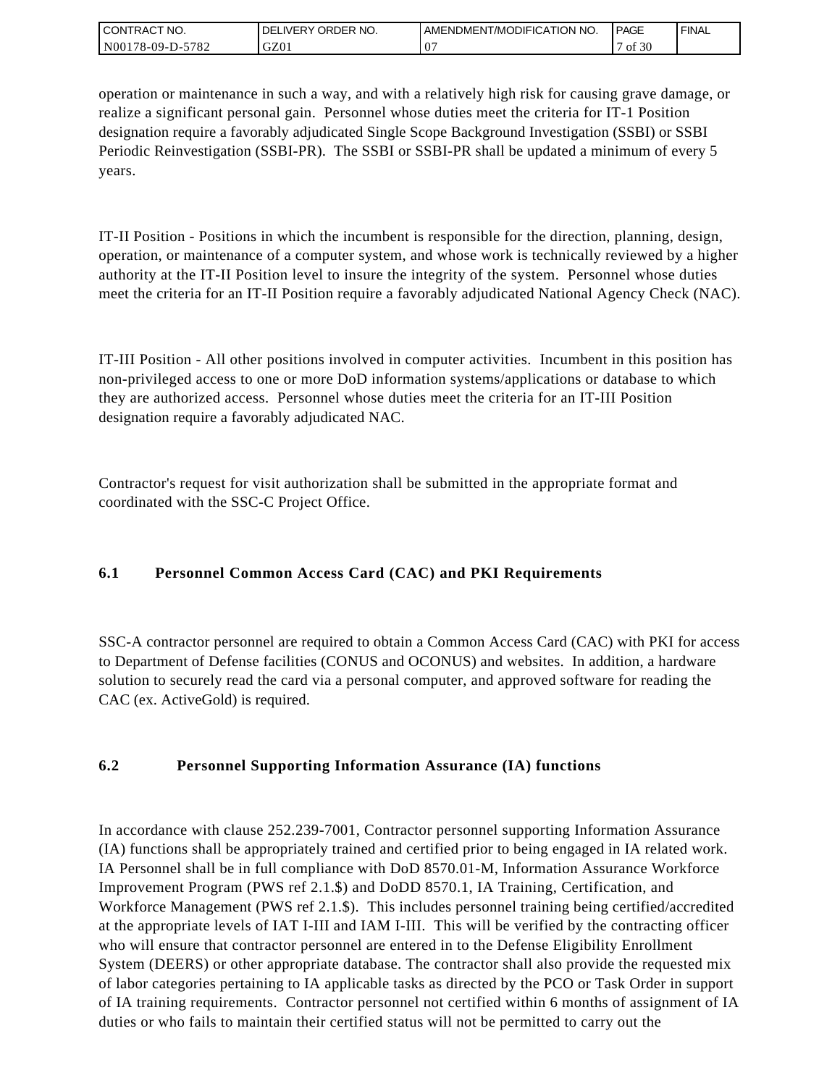| <b>CONTRACT NO.</b>   | ORDER NO.<br><b>IVERY</b><br>DELI | I AMENDMENT/MODIFICATION NO. | <b>PAGE</b> | ' FINAL |
|-----------------------|-----------------------------------|------------------------------|-------------|---------|
| N00178-09-D-5<br>5782 | GZ01                              | $\cdot$                      | f30<br>οt   |         |

operation or maintenance in such a way, and with a relatively high risk for causing grave damage, or realize a significant personal gain. Personnel whose duties meet the criteria for IT-1 Position designation require a favorably adjudicated Single Scope Background Investigation (SSBI) or SSBI Periodic Reinvestigation (SSBI-PR). The SSBI or SSBI-PR shall be updated a minimum of every 5 years.

IT-II Position - Positions in which the incumbent is responsible for the direction, planning, design, operation, or maintenance of a computer system, and whose work is technically reviewed by a higher authority at the IT-II Position level to insure the integrity of the system. Personnel whose duties meet the criteria for an IT-II Position require a favorably adjudicated National Agency Check (NAC).

IT-III Position - All other positions involved in computer activities. Incumbent in this position has non-privileged access to one or more DoD information systems/applications or database to which they are authorized access. Personnel whose duties meet the criteria for an IT-III Position designation require a favorably adjudicated NAC.

Contractor's request for visit authorization shall be submitted in the appropriate format and coordinated with the SSC-C Project Office.

# **6.1 Personnel Common Access Card (CAC) and PKI Requirements**

SSC-A contractor personnel are required to obtain a Common Access Card (CAC) with PKI for access to Department of Defense facilities (CONUS and OCONUS) and websites. In addition, a hardware solution to securely read the card via a personal computer, and approved software for reading the CAC (ex. ActiveGold) is required.

# **6.2 Personnel Supporting Information Assurance (IA) functions**

In accordance with clause 252.239-7001, Contractor personnel supporting Information Assurance (IA) functions shall be appropriately trained and certified prior to being engaged in IA related work. IA Personnel shall be in full compliance with DoD 8570.01-M, Information Assurance Workforce Improvement Program (PWS ref 2.1.\$) and DoDD 8570.1, IA Training, Certification, and Workforce Management (PWS ref 2.1.\$). This includes personnel training being certified/accredited at the appropriate levels of IAT I-III and IAM I-III. This will be verified by the contracting officer who will ensure that contractor personnel are entered in to the Defense Eligibility Enrollment System (DEERS) or other appropriate database. The contractor shall also provide the requested mix of labor categories pertaining to IA applicable tasks as directed by the PCO or Task Order in support of IA training requirements. Contractor personnel not certified within 6 months of assignment of IA duties or who fails to maintain their certified status will not be permitted to carry out the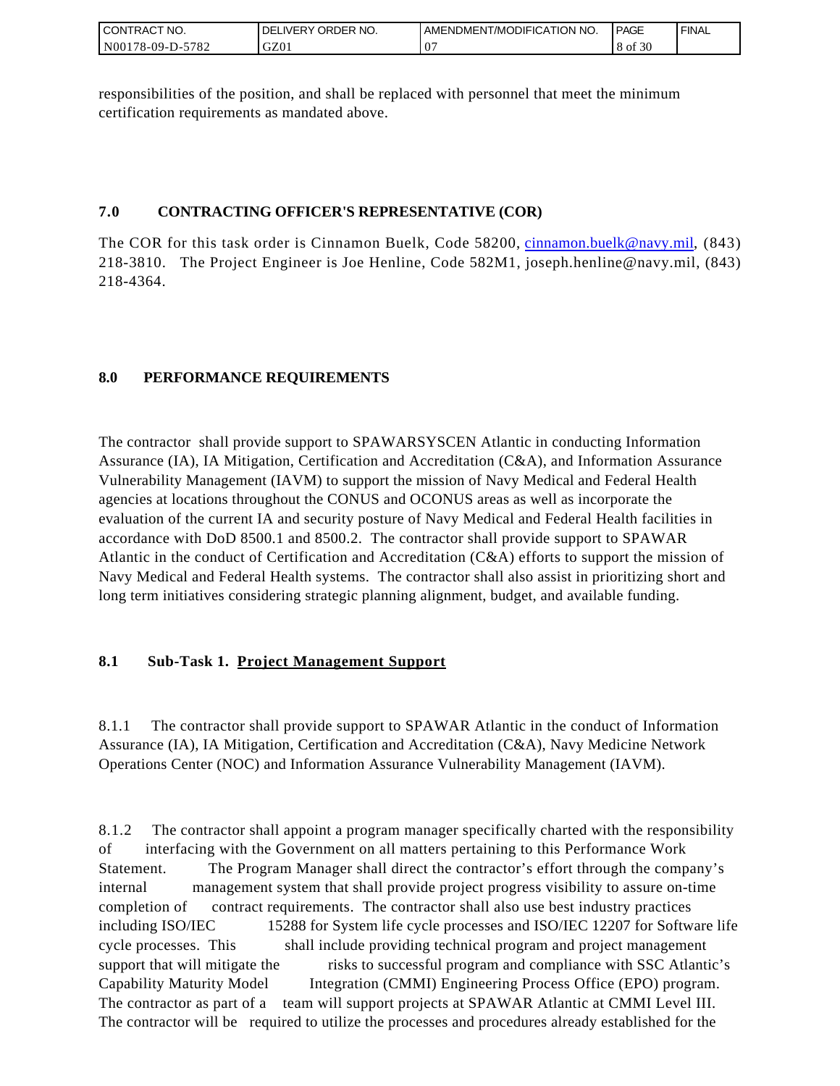| <b>CONTRACT NO.</b> | ' ORDER NO.<br><b>DELIVERY</b> | AMENDMENT/MODIFICATION NO. | <b>PAGE</b>  | `FINAL |
|---------------------|--------------------------------|----------------------------|--------------|--------|
| N00178-09-D-5782    | GZ01                           | n,<br>``                   | f 30<br>8 of |        |

responsibilities of the position, and shall be replaced with personnel that meet the minimum certification requirements as mandated above.

## **7.0 CONTRACTING OFFICER'S REPRESENTATIVE (COR)**

The COR for this task order is Cinnamon Buelk, Code 58200, [cinnamon.buelk@navy.mil,](mailto:cinnamon.buelk@navy.mil) (843) 218-3810. The Project Engineer is Joe Henline, Code 582M1, joseph.henline@navy.mil, (843) 218-4364.

# **8.0 PERFORMANCE REQUIREMENTS**

The contractor shall provide support to SPAWARSYSCEN Atlantic in conducting Information Assurance (IA), IA Mitigation, Certification and Accreditation (C&A), and Information Assurance Vulnerability Management (IAVM) to support the mission of Navy Medical and Federal Health agencies at locations throughout the CONUS and OCONUS areas as well as incorporate the evaluation of the current IA and security posture of Navy Medical and Federal Health facilities in accordance with DoD 8500.1 and 8500.2. The contractor shall provide support to SPAWAR Atlantic in the conduct of Certification and Accreditation (C&A) efforts to support the mission of Navy Medical and Federal Health systems. The contractor shall also assist in prioritizing short and long term initiatives considering strategic planning alignment, budget, and available funding.

# **8.1 Sub-Task 1. Project Management Support**

8.1.1 The contractor shall provide support to SPAWAR Atlantic in the conduct of Information Assurance (IA), IA Mitigation, Certification and Accreditation (C&A), Navy Medicine Network Operations Center (NOC) and Information Assurance Vulnerability Management (IAVM).

8.1.2 The contractor shall appoint a program manager specifically charted with the responsibility of interfacing with the Government on all matters pertaining to this Performance Work Statement. The Program Manager shall direct the contractor's effort through the company's internal management system that shall provide project progress visibility to assure on-time completion of contract requirements. The contractor shall also use best industry practices including ISO/IEC 15288 for System life cycle processes and ISO/IEC 12207 for Software life cycle processes. This shall include providing technical program and project management support that will mitigate the risks to successful program and compliance with SSC Atlantic's Capability Maturity Model Integration (CMMI) Engineering Process Office (EPO) program. The contractor as part of a team will support projects at SPAWAR Atlantic at CMMI Level III. The contractor will be required to utilize the processes and procedures already established for the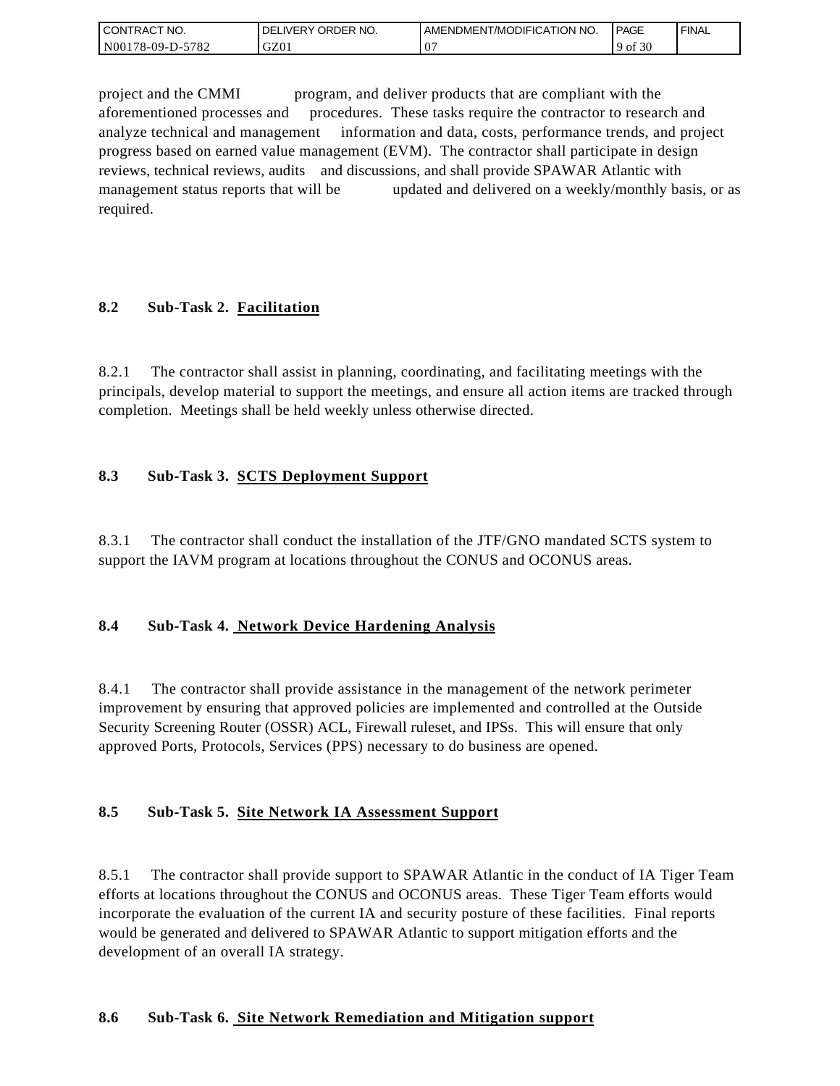| <b>CONTRACT NO.</b> | ' ORDER NO.<br><b>DELIVERY</b> | I AMENDMENT/MODIFICATION NO. | PAGE          | ' FINAL |
|---------------------|--------------------------------|------------------------------|---------------|---------|
| N00178-09-D-5782    | GZ01                           | ٠.                           | f 30ء<br>9 of |         |

project and the CMMI program, and deliver products that are compliant with the aforementioned processes and procedures. These tasks require the contractor to research and analyze technical and management information and data, costs, performance trends, and project progress based on earned value management (EVM). The contractor shall participate in design reviews, technical reviews, audits and discussions, and shall provide SPAWAR Atlantic with management status reports that will be updated and delivered on a weekly/monthly basis, or as required.

## **8.2 Sub-Task 2. Facilitation**

8.2.1 The contractor shall assist in planning, coordinating, and facilitating meetings with the principals, develop material to support the meetings, and ensure all action items are tracked through completion. Meetings shall be held weekly unless otherwise directed.

## **8.3 Sub-Task 3. SCTS Deployment Support**

8.3.1 The contractor shall conduct the installation of the JTF/GNO mandated SCTS system to support the IAVM program at locations throughout the CONUS and OCONUS areas.

### **8.4 Sub-Task 4. Network Device Hardening Analysis**

8.4.1 The contractor shall provide assistance in the management of the network perimeter improvement by ensuring that approved policies are implemented and controlled at the Outside Security Screening Router (OSSR) ACL, Firewall ruleset, and IPSs. This will ensure that only approved Ports, Protocols, Services (PPS) necessary to do business are opened.

### **8.5 Sub-Task 5. Site Network IA Assessment Support**

8.5.1 The contractor shall provide support to SPAWAR Atlantic in the conduct of IA Tiger Team efforts at locations throughout the CONUS and OCONUS areas. These Tiger Team efforts would incorporate the evaluation of the current IA and security posture of these facilities. Final reports would be generated and delivered to SPAWAR Atlantic to support mitigation efforts and the development of an overall IA strategy.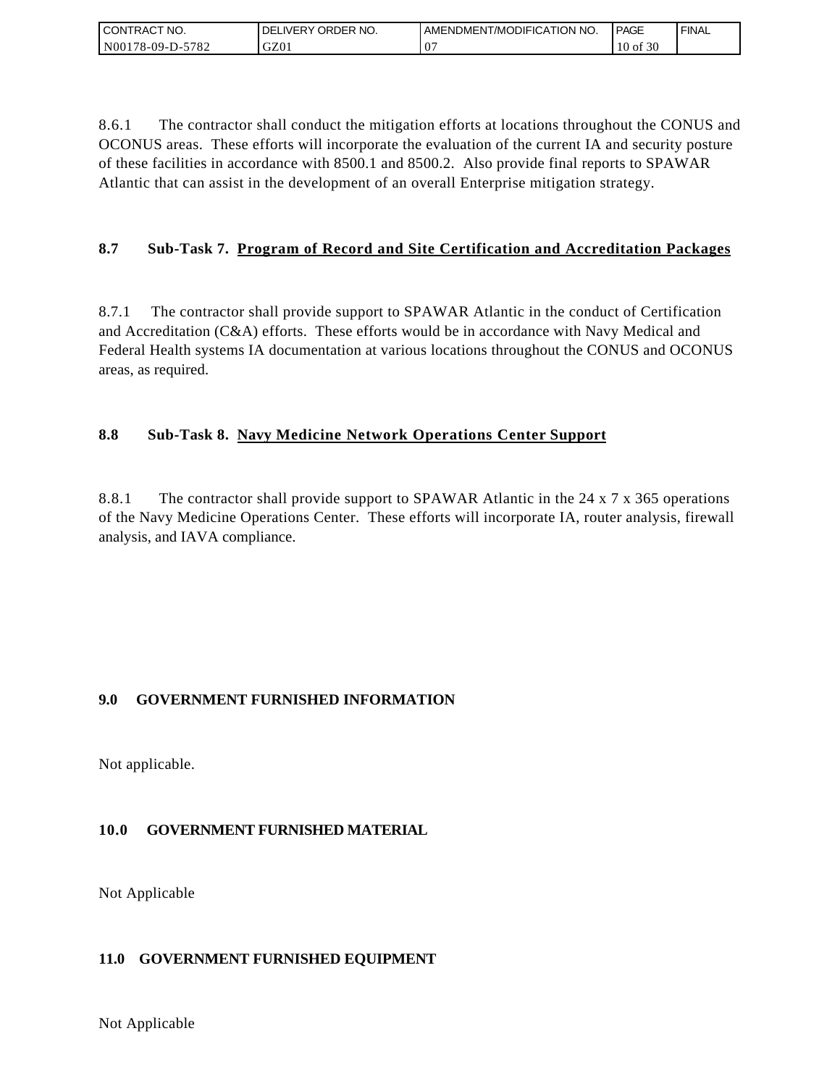| I CONTRACT NO.   | ´ORDER NO.<br><b>DELIVERY</b> | LAMENDMENT/MODIFICATION NO. | <b>PAGE</b>  | `FINAL |
|------------------|-------------------------------|-----------------------------|--------------|--------|
| N00178-09-D-5782 | GZ01                          | - 17                        | $10$ of $30$ |        |

8.6.1 The contractor shall conduct the mitigation efforts at locations throughout the CONUS and OCONUS areas. These efforts will incorporate the evaluation of the current IA and security posture of these facilities in accordance with 8500.1 and 8500.2. Also provide final reports to SPAWAR Atlantic that can assist in the development of an overall Enterprise mitigation strategy.

# **8.7 Sub-Task 7. Program of Record and Site Certification and Accreditation Packages**

8.7.1 The contractor shall provide support to SPAWAR Atlantic in the conduct of Certification and Accreditation (C&A) efforts. These efforts would be in accordance with Navy Medical and Federal Health systems IA documentation at various locations throughout the CONUS and OCONUS areas, as required.

# **8.8 Sub-Task 8. Navy Medicine Network Operations Center Support**

8.8.1 The contractor shall provide support to SPAWAR Atlantic in the 24 x 7 x 365 operations of the Navy Medicine Operations Center. These efforts will incorporate IA, router analysis, firewall analysis, and IAVA compliance.

# **9.0 GOVERNMENT FURNISHED INFORMATION**

Not applicable.

# **10.0 GOVERNMENT FURNISHED MATERIAL**

Not Applicable

### **11.0 GOVERNMENT FURNISHED EQUIPMENT**

Not Applicable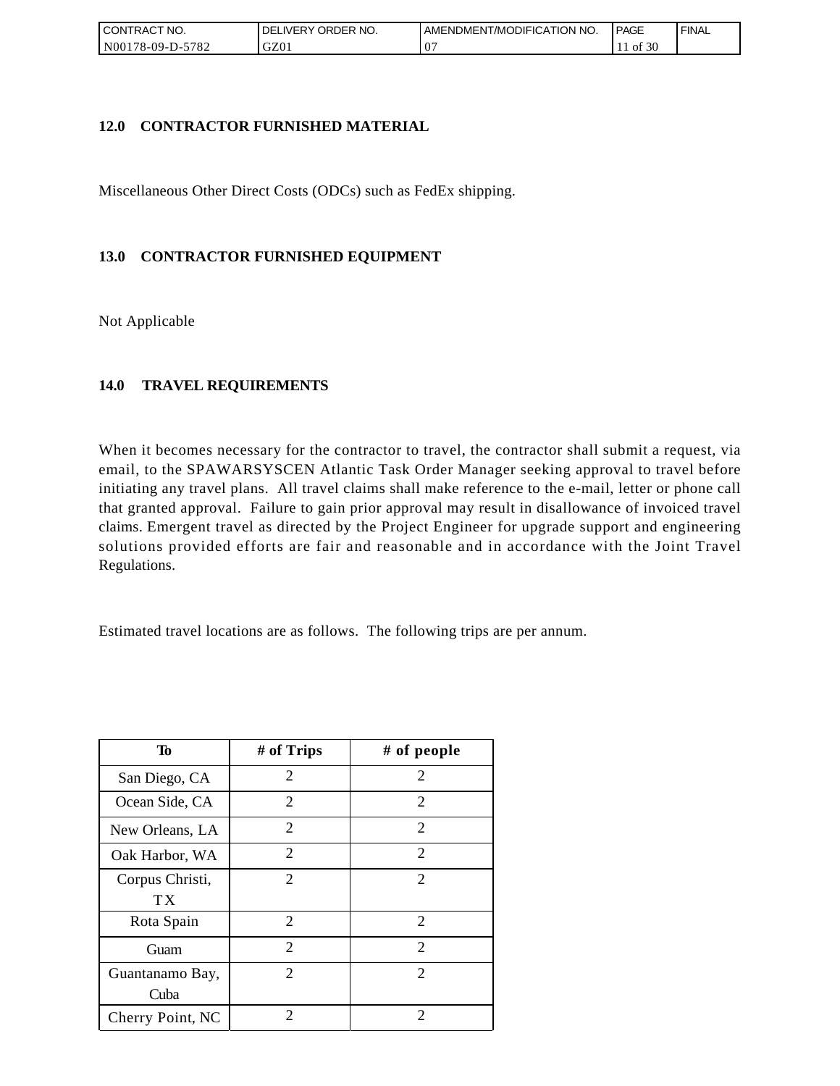| ' CONTRACT NO.          | ORDER NO.<br><b>DELIVERY</b> | AMENDMENT/MODIFICATION NO. | <b>PAGE</b> | ' FINAL |
|-------------------------|------------------------------|----------------------------|-------------|---------|
| 5782<br>$NO0178-09-D-2$ | GZ01                         | ິ                          | f 30<br>ΟĪ  |         |

### **12.0 CONTRACTOR FURNISHED MATERIAL**

Miscellaneous Other Direct Costs (ODCs) such as FedEx shipping.

## **13.0 CONTRACTOR FURNISHED EQUIPMENT**

Not Applicable

## **14.0 TRAVEL REQUIREMENTS**

When it becomes necessary for the contractor to travel, the contractor shall submit a request, via email, to the SPAWARSYSCEN Atlantic Task Order Manager seeking approval to travel before initiating any travel plans. All travel claims shall make reference to the e-mail, letter or phone call that granted approval. Failure to gain prior approval may result in disallowance of invoiced travel claims. Emergent travel as directed by the Project Engineer for upgrade support and engineering solutions provided efforts are fair and reasonable and in accordance with the Joint Travel Regulations.

Estimated travel locations are as follows. The following trips are per annum.

| To                      | # of Trips                  | # of people                 |
|-------------------------|-----------------------------|-----------------------------|
| San Diego, CA           | 2                           | 2                           |
| Ocean Side, CA          | 2                           | 2                           |
| New Orleans, LA         | $\overline{c}$              | 2                           |
| Oak Harbor, WA          | $\overline{2}$              | $\overline{2}$              |
| Corpus Christi,<br>ТX   | $\mathcal{D}_{\mathcal{L}}$ | $\mathcal{D}_{\mathcal{L}}$ |
| Rota Spain              | 2                           | 2                           |
| Guam                    | $\overline{2}$              | 2                           |
| Guantanamo Bay,<br>Cuba | $\mathcal{D}_{\mathcal{L}}$ | $\mathcal{D}_{\mathcal{L}}$ |
| Cherry Point, NC        | 2                           | 2                           |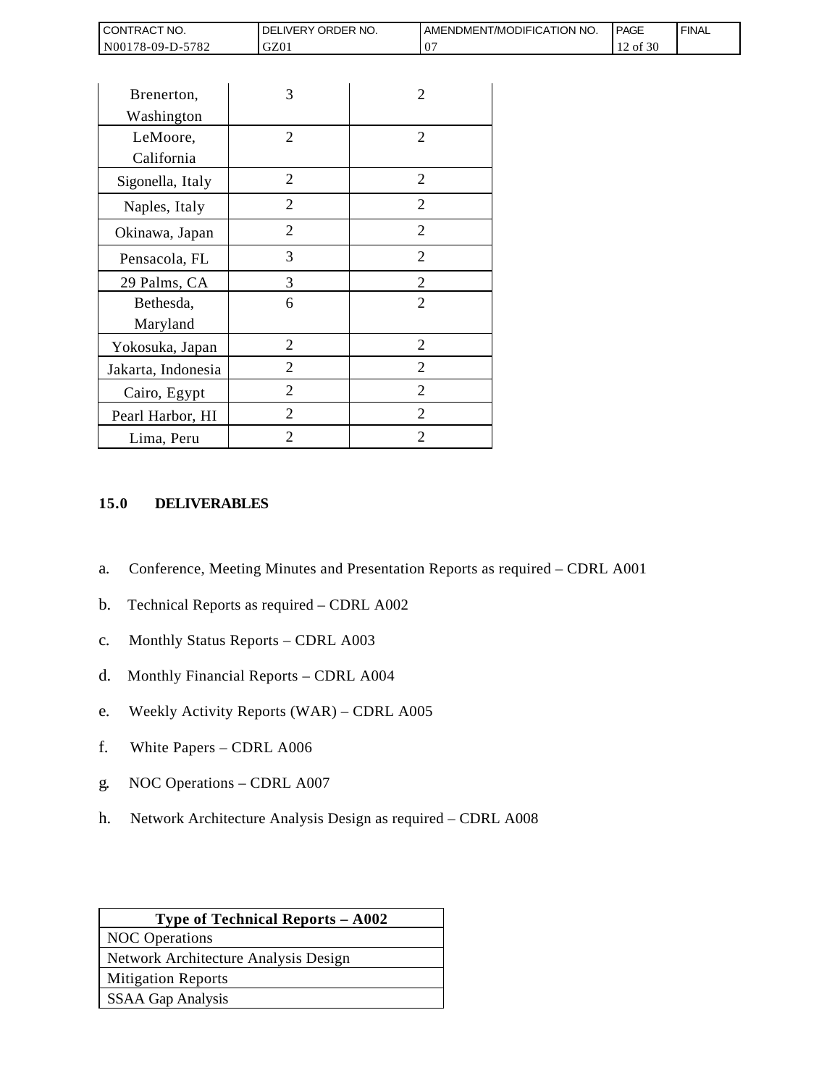| <b>CONTRACT NO.</b>               | NO.<br>ORDER<br><b>DELIVERY</b> | AMENDMENT/MODIFICATION NO. | <b>PAGE</b>               | ' FINAL |
|-----------------------------------|---------------------------------|----------------------------|---------------------------|---------|
| N001<br>5782<br>$3178 - 09 - D -$ | GZ01                            |                            | $c \cap c$<br>-01.30<br>∸ |         |

| CONTRACT NO.                                                                   | DELIVERY ORDER NO.                                                                                                                                                                                                                                            |                | AMENDMEN |
|--------------------------------------------------------------------------------|---------------------------------------------------------------------------------------------------------------------------------------------------------------------------------------------------------------------------------------------------------------|----------------|----------|
| N00178-09-D-5782                                                               | GZ01                                                                                                                                                                                                                                                          | 07             |          |
|                                                                                |                                                                                                                                                                                                                                                               |                |          |
| Brenerton,                                                                     | 3                                                                                                                                                                                                                                                             | 2              |          |
| Washington                                                                     |                                                                                                                                                                                                                                                               |                |          |
| LeMoore,                                                                       | 2                                                                                                                                                                                                                                                             | 2              |          |
| California                                                                     |                                                                                                                                                                                                                                                               |                |          |
| Sigonella, Italy                                                               | $\overline{2}$                                                                                                                                                                                                                                                | $\overline{2}$ |          |
| Naples, Italy                                                                  | $\overline{2}$                                                                                                                                                                                                                                                | $\overline{2}$ |          |
| Okinawa, Japan                                                                 | $\overline{2}$                                                                                                                                                                                                                                                | 2              |          |
| Pensacola, FL                                                                  | 3                                                                                                                                                                                                                                                             | 2              |          |
| 29 Palms, CA                                                                   | 3                                                                                                                                                                                                                                                             | $\overline{c}$ |          |
| Bethesda,                                                                      | 6                                                                                                                                                                                                                                                             | $\overline{2}$ |          |
| Maryland                                                                       |                                                                                                                                                                                                                                                               |                |          |
| Yokosuka, Japan                                                                | $\overline{2}$                                                                                                                                                                                                                                                | $\overline{2}$ |          |
| Jakarta, Indonesia                                                             | 2                                                                                                                                                                                                                                                             | $\overline{2}$ |          |
| Cairo, Egypt                                                                   | 2                                                                                                                                                                                                                                                             | 2              |          |
| Pearl Harbor, HI                                                               | $\overline{2}$                                                                                                                                                                                                                                                | 2              |          |
| Lima, Peru                                                                     | $\overline{2}$                                                                                                                                                                                                                                                | 2              |          |
| a.<br>b.<br>$\mathbf{C}$ .<br>d.<br>e.<br>f.<br>White Papers - CDRL A006<br>g. | Conference, Meeting Minutes and Presentation Reports a<br>Technical Reports as required - CDRL A002<br>Monthly Status Reports - CDRL A003<br>Monthly Financial Reports - CDRL A004<br>Weekly Activity Reports (WAR) - CDRL A005<br>NOC Operations - CDRL A007 |                |          |
| h.                                                                             | Network Architecture Analysis Design as required – CDI                                                                                                                                                                                                        |                |          |
|                                                                                | Type of Technical Reports - A002                                                                                                                                                                                                                              |                |          |
| <b>NOC</b> Operations                                                          |                                                                                                                                                                                                                                                               |                |          |
| <b>Mitigation Reports</b>                                                      | Network Architecture Analysis Design                                                                                                                                                                                                                          |                |          |
| <b>SSAA Gap Analysis</b>                                                       |                                                                                                                                                                                                                                                               |                |          |
|                                                                                |                                                                                                                                                                                                                                                               |                |          |

### **15.0 DELIVERABLES**

- a. Conference, Meeting Minutes and Presentation Reports as required CDRL A001
- b. Technical Reports as required CDRL A002
- c. Monthly Status Reports CDRL A003
- d. Monthly Financial Reports CDRL A004
- e. Weekly Activity Reports (WAR) CDRL A005
- f. White Papers CDRL A006
- g. NOC Operations CDRL A007
- h. Network Architecture Analysis Design as required CDRL A008

| <b>Type of Technical Reports – A002</b> |  |  |
|-----------------------------------------|--|--|
| <b>NOC</b> Operations                   |  |  |
| Network Architecture Analysis Design    |  |  |
| <b>Mitigation Reports</b>               |  |  |
| <b>SSAA Gap Analysis</b>                |  |  |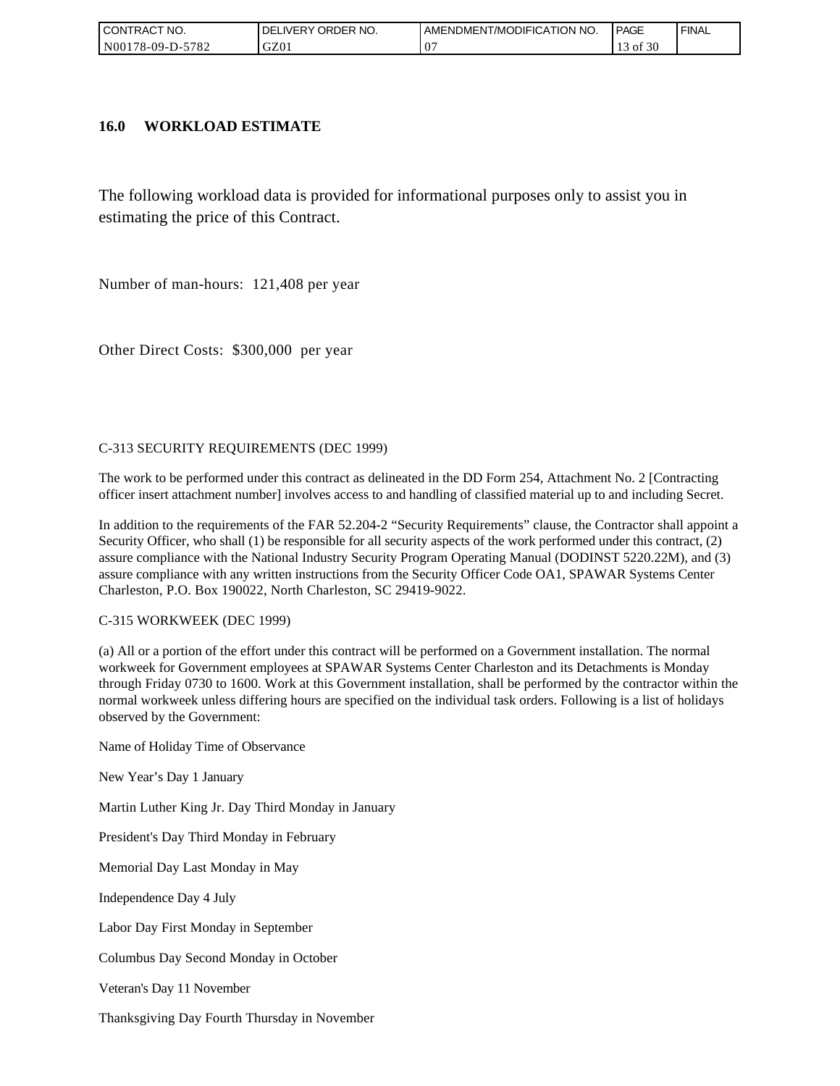| l CON <sup>-</sup><br>'TRACT NO. | ORDER<br>NO.<br><b>DELIVERY</b> | AMENDMENT/MODIFICATION NO. | <b>PAGE</b>      | ' FINAL |
|----------------------------------|---------------------------------|----------------------------|------------------|---------|
| N00178-09-D-5782                 | GZ01                            |                            | 0.20<br>ΟĪ<br>30 |         |

#### **16.0 WORKLOAD ESTIMATE**

The following workload data is provided for informational purposes only to assist you in estimating the price of this Contract.

Number of man-hours: 121,408 per year

Other Direct Costs: \$300,000 per year

#### C-313 SECURITY REQUIREMENTS (DEC 1999)

The work to be performed under this contract as delineated in the DD Form 254, Attachment No. 2 [Contracting officer insert attachment number] involves access to and handling of classified material up to and including Secret.

In addition to the requirements of the FAR 52.204-2 "Security Requirements" clause, the Contractor shall appoint a Security Officer, who shall (1) be responsible for all security aspects of the work performed under this contract, (2) assure compliance with the National Industry Security Program Operating Manual (DODINST 5220.22M), and (3) assure compliance with any written instructions from the Security Officer Code OA1, SPAWAR Systems Center Charleston, P.O. Box 190022, North Charleston, SC 29419-9022.

#### C-315 WORKWEEK (DEC 1999)

(a) All or a portion of the effort under this contract will be performed on a Government installation. The normal workweek for Government employees at SPAWAR Systems Center Charleston and its Detachments is Monday through Friday 0730 to 1600. Work at this Government installation, shall be performed by the contractor within the normal workweek unless differing hours are specified on the individual task orders. Following is a list of holidays observed by the Government:

Name of Holiday Time of Observance

New Year's Day 1 January

Martin Luther King Jr. Day Third Monday in January

President's Day Third Monday in February

Memorial Day Last Monday in May

Independence Day 4 July

Labor Day First Monday in September

Columbus Day Second Monday in October

Veteran's Day 11 November

Thanksgiving Day Fourth Thursday in November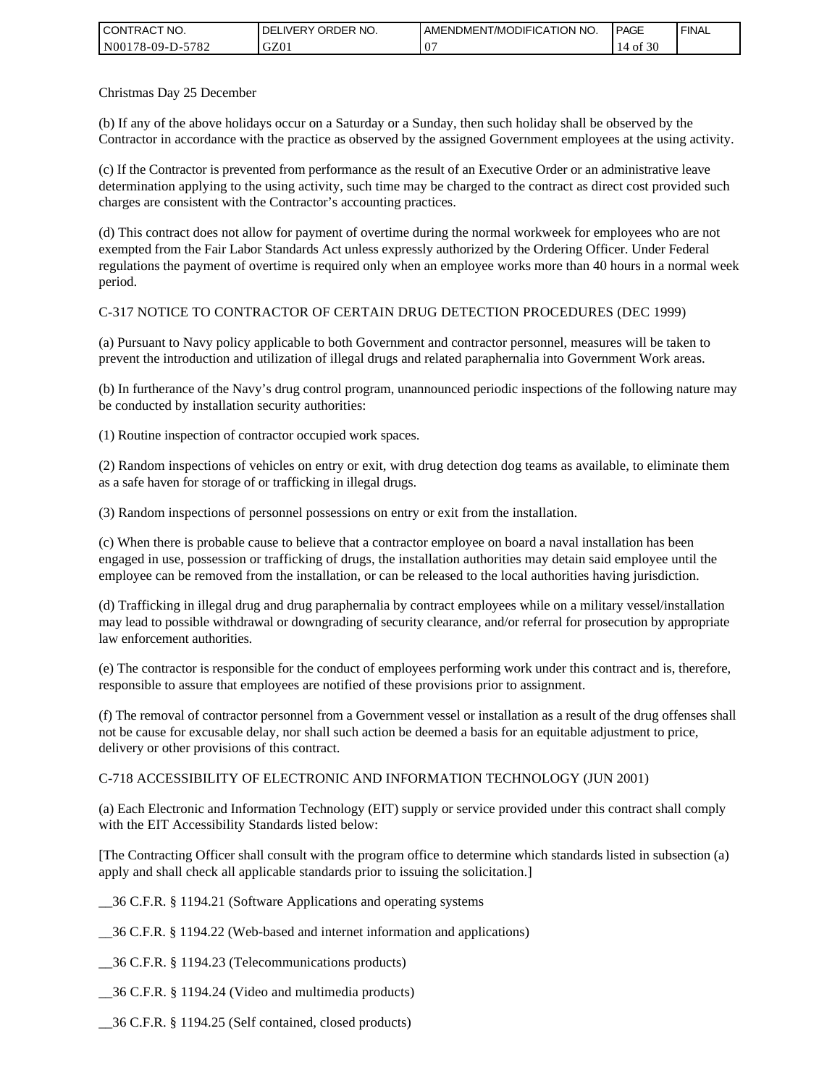| <b>CONTRACT NO.</b> | I DELIVERY ORDER NO. | AMENDMENT/MODIFICATION NO. | PAGE       | ' FINAL |
|---------------------|----------------------|----------------------------|------------|---------|
| N00178-09-D-5782    | GZ01                 | 07                         | f 30<br>оf |         |

Christmas Day 25 December

(b) If any of the above holidays occur on a Saturday or a Sunday, then such holiday shall be observed by the Contractor in accordance with the practice as observed by the assigned Government employees at the using activity.

(c) If the Contractor is prevented from performance as the result of an Executive Order or an administrative leave determination applying to the using activity, such time may be charged to the contract as direct cost provided such charges are consistent with the Contractor's accounting practices.

(d) This contract does not allow for payment of overtime during the normal workweek for employees who are not exempted from the Fair Labor Standards Act unless expressly authorized by the Ordering Officer. Under Federal regulations the payment of overtime is required only when an employee works more than 40 hours in a normal week period.

### C-317 NOTICE TO CONTRACTOR OF CERTAIN DRUG DETECTION PROCEDURES (DEC 1999)

(a) Pursuant to Navy policy applicable to both Government and contractor personnel, measures will be taken to prevent the introduction and utilization of illegal drugs and related paraphernalia into Government Work areas.

(b) In furtherance of the Navy's drug control program, unannounced periodic inspections of the following nature may be conducted by installation security authorities:

(1) Routine inspection of contractor occupied work spaces.

(2) Random inspections of vehicles on entry or exit, with drug detection dog teams as available, to eliminate them as a safe haven for storage of or trafficking in illegal drugs.

(3) Random inspections of personnel possessions on entry or exit from the installation.

(c) When there is probable cause to believe that a contractor employee on board a naval installation has been engaged in use, possession or trafficking of drugs, the installation authorities may detain said employee until the employee can be removed from the installation, or can be released to the local authorities having jurisdiction.

(d) Trafficking in illegal drug and drug paraphernalia by contract employees while on a military vessel/installation may lead to possible withdrawal or downgrading of security clearance, and/or referral for prosecution by appropriate law enforcement authorities.

(e) The contractor is responsible for the conduct of employees performing work under this contract and is, therefore, responsible to assure that employees are notified of these provisions prior to assignment.

(f) The removal of contractor personnel from a Government vessel or installation as a result of the drug offenses shall not be cause for excusable delay, nor shall such action be deemed a basis for an equitable adjustment to price, delivery or other provisions of this contract.

#### C-718 ACCESSIBILITY OF ELECTRONIC AND INFORMATION TECHNOLOGY (JUN 2001)

(a) Each Electronic and Information Technology (EIT) supply or service provided under this contract shall comply with the EIT Accessibility Standards listed below:

[The Contracting Officer shall consult with the program office to determine which standards listed in subsection (a) apply and shall check all applicable standards prior to issuing the solicitation.]

\_\_36 C.F.R. § 1194.21 (Software Applications and operating systems

\_\_36 C.F.R. § 1194.22 (Web-based and internet information and applications)

\_\_36 C.F.R. § 1194.23 (Telecommunications products)

\_\_36 C.F.R. § 1194.24 (Video and multimedia products)

\_\_36 C.F.R. § 1194.25 (Self contained, closed products)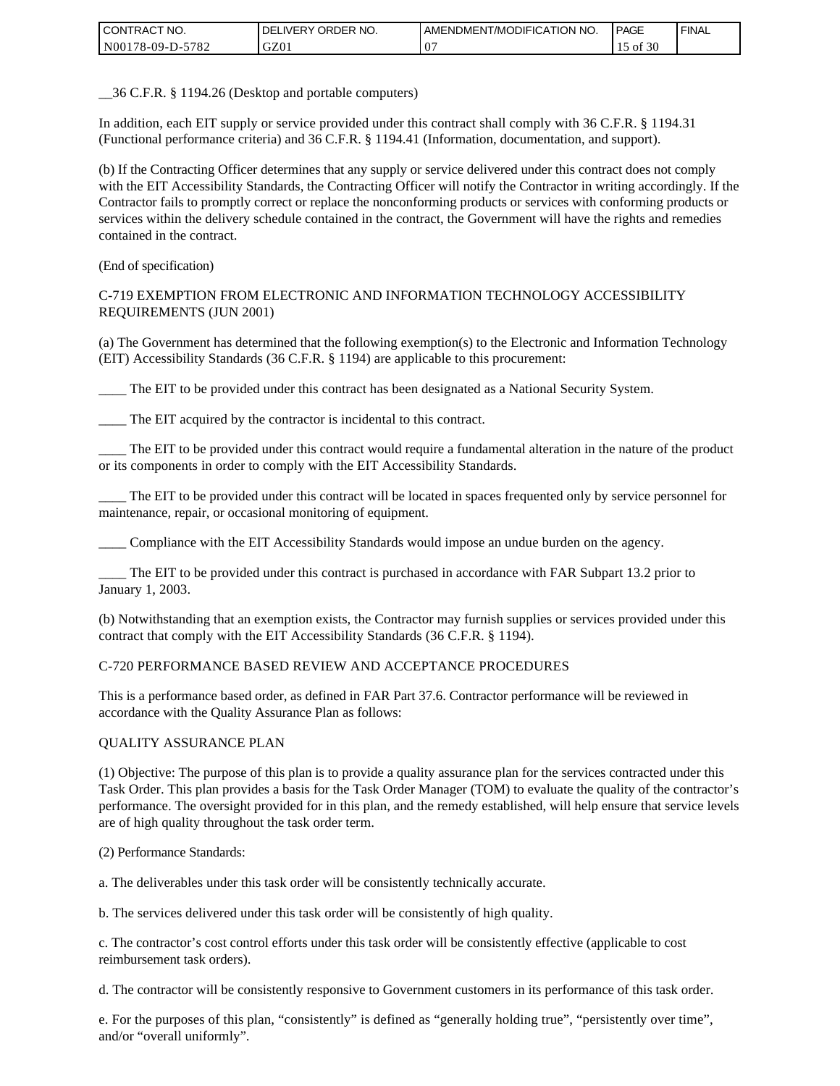| <b>CONTRACT NO.</b>    | NO.<br>ORDER<br><b>DELIVERY</b> | AMENDMENT/MODIFICATION NO. | <b>PAGE</b>      | ' FINAL |
|------------------------|---------------------------------|----------------------------|------------------|---------|
| N00178-09-D-5<br>-5782 | GZ01                            |                            | 0.20<br>οt<br>3U |         |

\_\_36 C.F.R. § 1194.26 (Desktop and portable computers)

In addition, each EIT supply or service provided under this contract shall comply with 36 C.F.R. § 1194.31 (Functional performance criteria) and 36 C.F.R. § 1194.41 (Information, documentation, and support).

(b) If the Contracting Officer determines that any supply or service delivered under this contract does not comply with the EIT Accessibility Standards, the Contracting Officer will notify the Contractor in writing accordingly. If the Contractor fails to promptly correct or replace the nonconforming products or services with conforming products or services within the delivery schedule contained in the contract, the Government will have the rights and remedies contained in the contract.

(End of specification)

#### C-719 EXEMPTION FROM ELECTRONIC AND INFORMATION TECHNOLOGY ACCESSIBILITY REQUIREMENTS (JUN 2001)

(a) The Government has determined that the following exemption(s) to the Electronic and Information Technology (EIT) Accessibility Standards (36 C.F.R. § 1194) are applicable to this procurement:

\_\_\_\_ The EIT to be provided under this contract has been designated as a National Security System.

The EIT acquired by the contractor is incidental to this contract.

\_\_\_\_ The EIT to be provided under this contract would require a fundamental alteration in the nature of the product or its components in order to comply with the EIT Accessibility Standards.

\_\_\_\_ The EIT to be provided under this contract will be located in spaces frequented only by service personnel for maintenance, repair, or occasional monitoring of equipment.

\_\_\_\_ Compliance with the EIT Accessibility Standards would impose an undue burden on the agency.

The EIT to be provided under this contract is purchased in accordance with FAR Subpart 13.2 prior to January 1, 2003.

(b) Notwithstanding that an exemption exists, the Contractor may furnish supplies or services provided under this contract that comply with the EIT Accessibility Standards (36 C.F.R. § 1194).

#### C-720 PERFORMANCE BASED REVIEW AND ACCEPTANCE PROCEDURES

This is a performance based order, as defined in FAR Part 37.6. Contractor performance will be reviewed in accordance with the Quality Assurance Plan as follows:

#### QUALITY ASSURANCE PLAN

(1) Objective: The purpose of this plan is to provide a quality assurance plan for the services contracted under this Task Order. This plan provides a basis for the Task Order Manager (TOM) to evaluate the quality of the contractor's performance. The oversight provided for in this plan, and the remedy established, will help ensure that service levels are of high quality throughout the task order term.

(2) Performance Standards:

a. The deliverables under this task order will be consistently technically accurate.

b. The services delivered under this task order will be consistently of high quality.

c. The contractor's cost control efforts under this task order will be consistently effective (applicable to cost reimbursement task orders).

d. The contractor will be consistently responsive to Government customers in its performance of this task order.

e. For the purposes of this plan, "consistently" is defined as "generally holding true", "persistently over time", and/or "overall uniformly".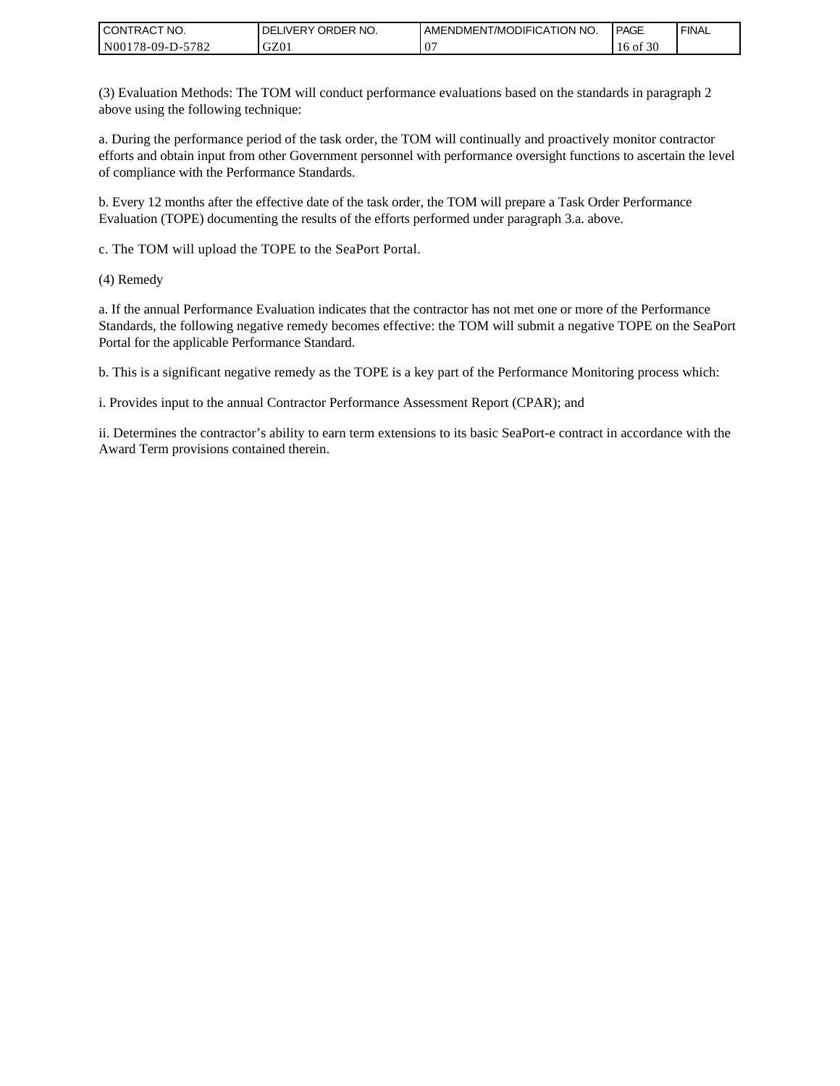| I CONTRACT NO.   | ORDER NO.<br><b>DELIVERY</b> | AMENDMENT/MODIFICATION NO. | <b>PAGE</b>      | ' FINAL |
|------------------|------------------------------|----------------------------|------------------|---------|
| N00178-09-D-5782 | GZ0 <sub>1</sub>             | $\mathbf v$                | 0.20<br>16 of 30 |         |

(3) Evaluation Methods: The TOM will conduct performance evaluations based on the standards in paragraph 2 above using the following technique:

a. During the performance period of the task order, the TOM will continually and proactively monitor contractor efforts and obtain input from other Government personnel with performance oversight functions to ascertain the level of compliance with the Performance Standards.

b. Every 12 months after the effective date of the task order, the TOM will prepare a Task Order Performance Evaluation (TOPE) documenting the results of the efforts performed under paragraph 3.a. above.

c. The TOM will upload the TOPE to the SeaPort Portal.

(4) Remedy

a. If the annual Performance Evaluation indicates that the contractor has not met one or more of the Performance Standards, the following negative remedy becomes effective: the TOM will submit a negative TOPE on the SeaPort Portal for the applicable Performance Standard.

b. This is a significant negative remedy as the TOPE is a key part of the Performance Monitoring process which:

i. Provides input to the annual Contractor Performance Assessment Report (CPAR); and

ii. Determines the contractor's ability to earn term extensions to its basic SeaPort-e contract in accordance with the Award Term provisions contained therein.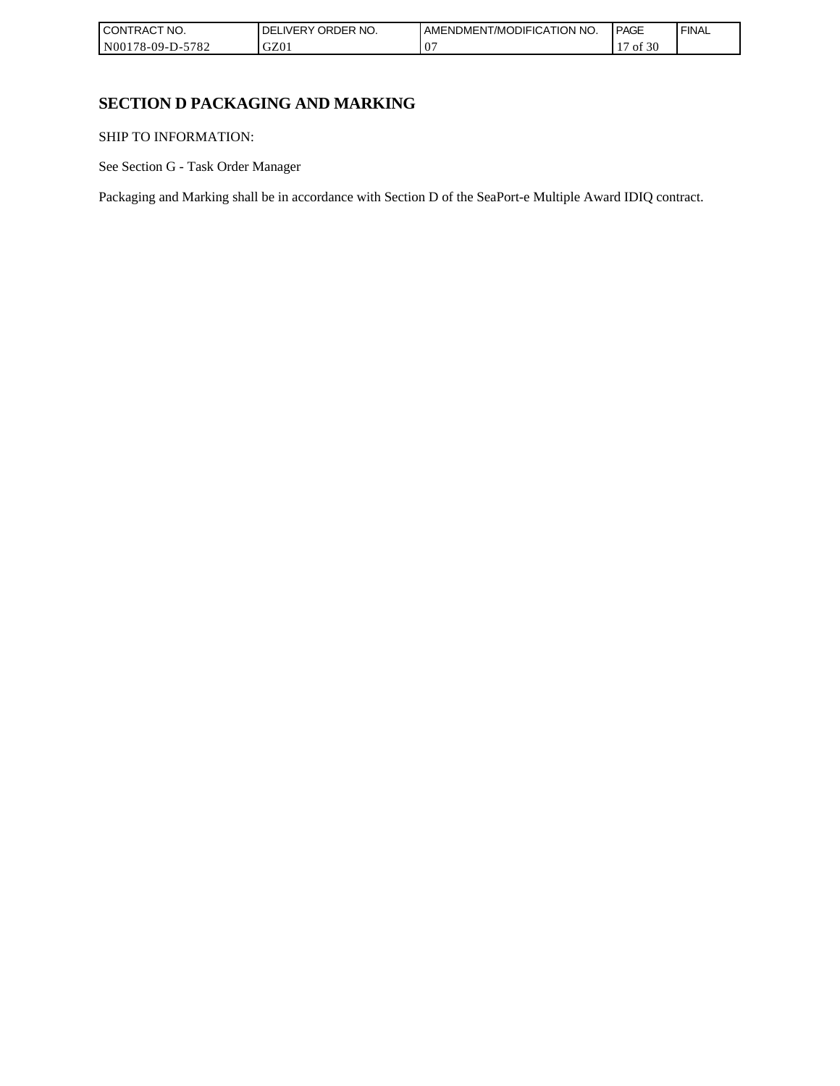| I CONT'<br>'TRACT NO.       | ORDER NO.<br>, IVFRY | <b>IT/MODIFICATION NO.</b><br>AMENDMENT | <b>PAGE</b>        | <b>FINAL</b> |
|-----------------------------|----------------------|-----------------------------------------|--------------------|--------------|
| N00178-09-D-<br>5700<br>ے ہ | GZ01                 | $0^{\circ}$                             | f 30<br>. .<br>-01 |              |

# **SECTION D PACKAGING AND MARKING**

SHIP TO INFORMATION:

See Section G - Task Order Manager

Packaging and Marking shall be in accordance with Section D of the SeaPort-e Multiple Award IDIQ contract.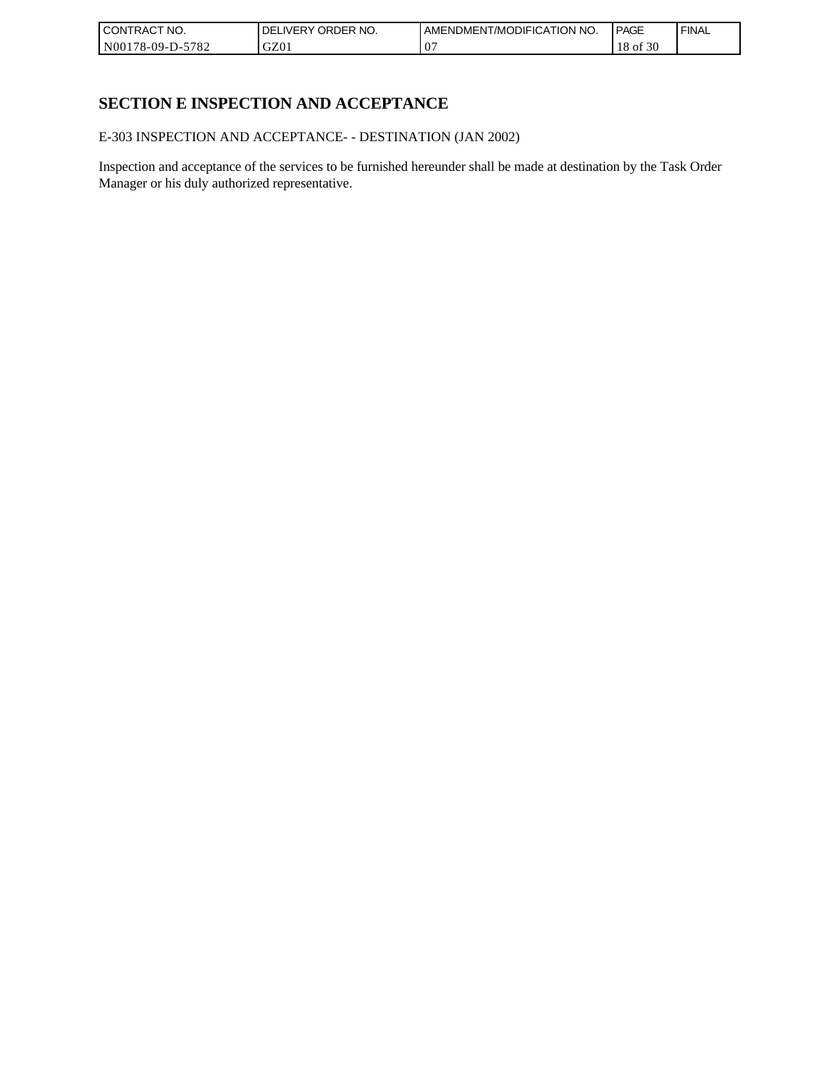| I CONTRACT NO.   | ORDER NO.<br><b>DELIVERY</b> | AMENDMENT/MODIFICATION NO. | <b>PAGE</b> | ' FINAL |
|------------------|------------------------------|----------------------------|-------------|---------|
| N00178-09-D-5782 | GZ0 <sub>1</sub>             | $\mathbf v$                | f 30<br>оf  |         |

# **SECTION E INSPECTION AND ACCEPTANCE**

E-303 INSPECTION AND ACCEPTANCE- - DESTINATION (JAN 2002)

Inspection and acceptance of the services to be furnished hereunder shall be made at destination by the Task Order Manager or his duly authorized representative.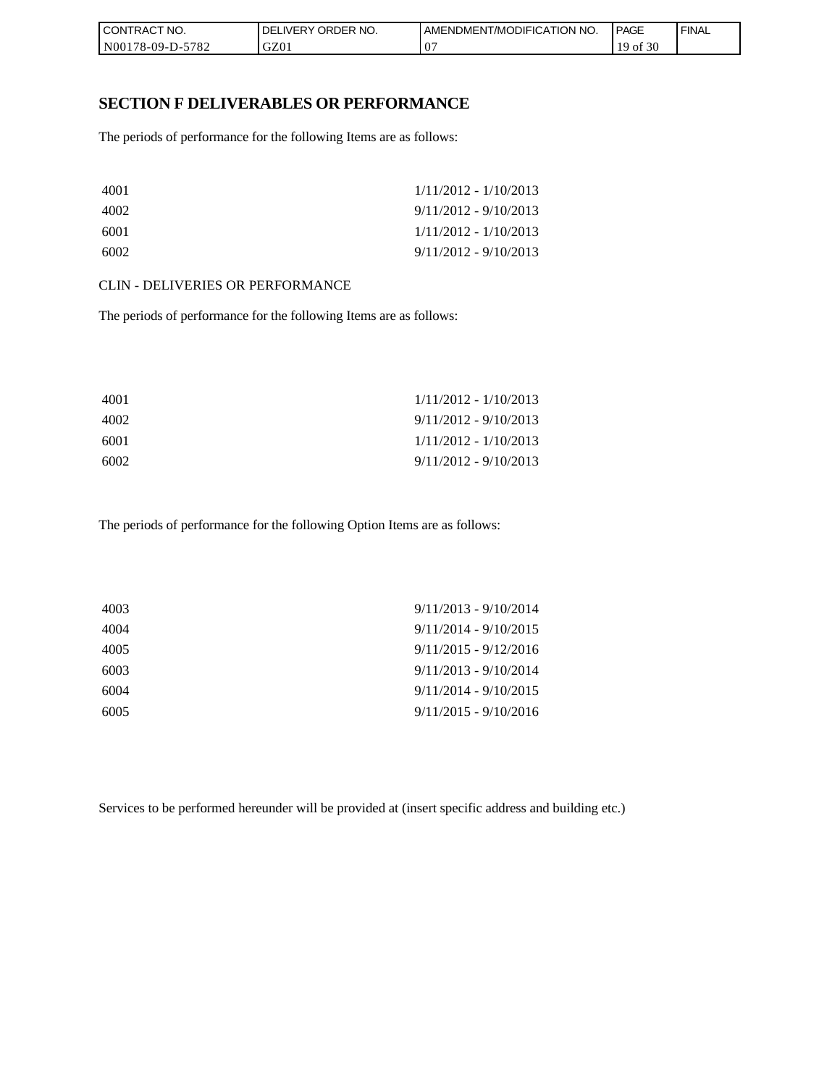| I CONTRACT NO.   | NO.<br>' ORDER<br><b>DELIVERY</b> | AMENDMENT/MODIFICATION<br>I NO. | <b>PAGE</b>              | <b>FINAL</b> |
|------------------|-----------------------------------|---------------------------------|--------------------------|--------------|
| N00178-09-D-5782 | GZ01                              | ◡                               | f 30<br>19 <sub>of</sub> |              |

### **SECTION F DELIVERABLES OR PERFORMANCE**

The periods of performance for the following Items are as follows:

| 4001 | $1/11/2012 - 1/10/2013$ |
|------|-------------------------|
| 4002 | $9/11/2012 - 9/10/2013$ |
| 6001 | $1/11/2012 - 1/10/2013$ |
| 6002 | $9/11/2012 - 9/10/2013$ |

#### CLIN - DELIVERIES OR PERFORMANCE

The periods of performance for the following Items are as follows:

| 4001 | $1/11/2012 - 1/10/2013$ |
|------|-------------------------|
| 4002 | $9/11/2012 - 9/10/2013$ |
| 6001 | $1/11/2012 - 1/10/2013$ |
| 6002 | $9/11/2012 - 9/10/2013$ |

The periods of performance for the following Option Items are as follows:

| 4003 | $9/11/2013 - 9/10/2014$ |
|------|-------------------------|
| 4004 | $9/11/2014 - 9/10/2015$ |
| 4005 | $9/11/2015 - 9/12/2016$ |
| 6003 | $9/11/2013 - 9/10/2014$ |
| 6004 | $9/11/2014 - 9/10/2015$ |
| 6005 | $9/11/2015 - 9/10/2016$ |
|      |                         |

Services to be performed hereunder will be provided at (insert specific address and building etc.)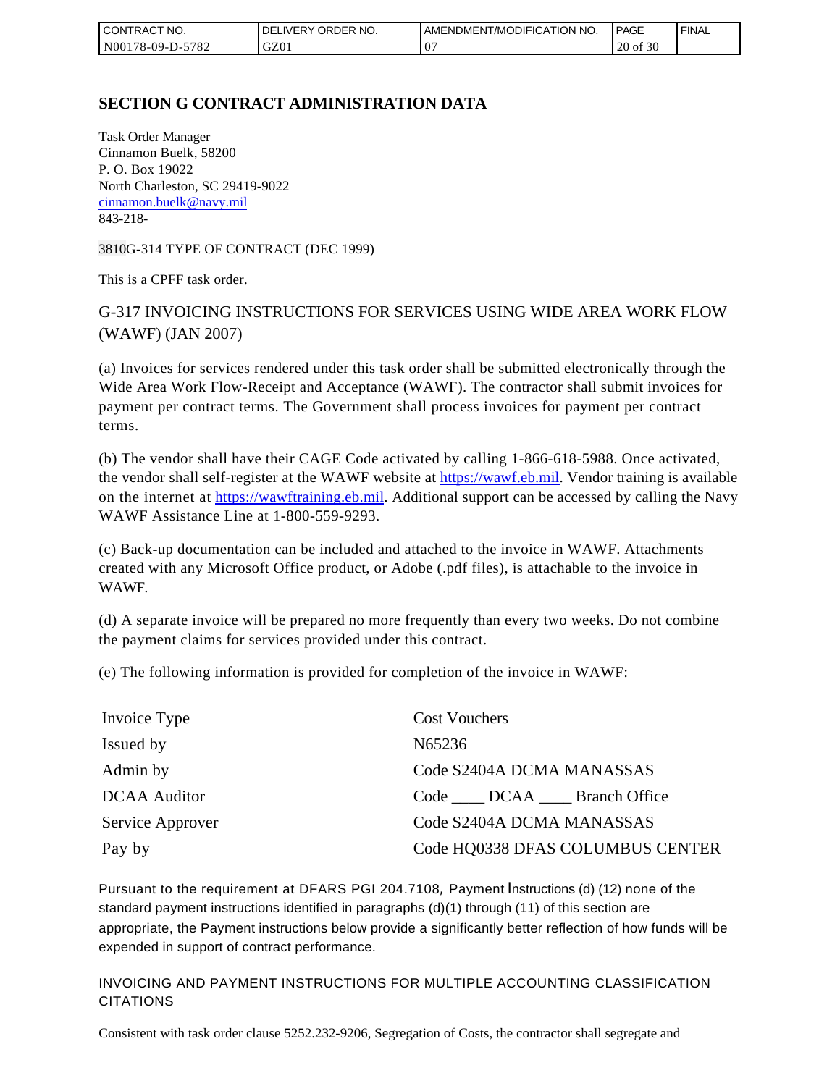| l CON<br>TRACT NO.                     | ORDER NO.<br><b>DELIVERY</b> | AMENDMENT/MODIFICATION NO. | <b>PAGE</b> | ' FINAL |
|----------------------------------------|------------------------------|----------------------------|-------------|---------|
| 5782<br>N001<br>*78-09-D- <sub>~</sub> | GZ0 <sub>1</sub>             | .,                         | 20 of 30    |         |

# **SECTION G CONTRACT ADMINISTRATION DATA**

Task Order Manager Cinnamon Buelk, 58200 P. O. Box 19022 North Charleston, SC 29419-9022 [cinnamon.buelk@navy.mil](mailto:cinnamon.buelk@navy.mil) 843-218-

3810G-314 TYPE OF CONTRACT (DEC 1999)

This is a CPFF task order.

# G-317 INVOICING INSTRUCTIONS FOR SERVICES USING WIDE AREA WORK FLOW (WAWF) (JAN 2007)

(a) Invoices for services rendered under this task order shall be submitted electronically through the Wide Area Work Flow-Receipt and Acceptance (WAWF). The contractor shall submit invoices for payment per contract terms. The Government shall process invoices for payment per contract terms.

(b) The vendor shall have their CAGE Code activated by calling 1-866-618-5988. Once activated, the vendor shall self-register at the WAWF website at [https://wawf.eb.mil.](https://wawf.eb.mil/) Vendor training is available on the internet at [https://wawftraining.eb.mil.](https://wawftraining.eb.mil/) Additional support can be accessed by calling the Navy WAWF Assistance Line at 1-800-559-9293.

(c) Back-up documentation can be included and attached to the invoice in WAWF. Attachments created with any Microsoft Office product, or Adobe (.pdf files), is attachable to the invoice in WAWF.

(d) A separate invoice will be prepared no more frequently than every two weeks. Do not combine the payment claims for services provided under this contract.

(e) The following information is provided for completion of the invoice in WAWF:

| Invoice Type        | <b>Cost Vouchers</b>             |
|---------------------|----------------------------------|
| Issued by           | N65236                           |
| Admin by            | Code S2404A DCMA MANASSAS        |
| <b>DCAA</b> Auditor | Code DCAA Branch Office          |
| Service Approver    | Code S2404A DCMA MANASSAS        |
| Pay by              | Code HQ0338 DFAS COLUMBUS CENTER |

Pursuant to the requirement at DFARS PGI 204.7108, Payment Instructions (d) (12) none of the standard payment instructions identified in paragraphs (d)(1) through (11) of this section are appropriate, the Payment instructions below provide a significantly better reflection of how funds will be expended in support of contract performance.

INVOICING AND PAYMENT INSTRUCTIONS FOR MULTIPLE ACCOUNTING CLASSIFICATION CITATIONS

Consistent with task order clause 5252.232-9206, Segregation of Costs, the contractor shall segregate and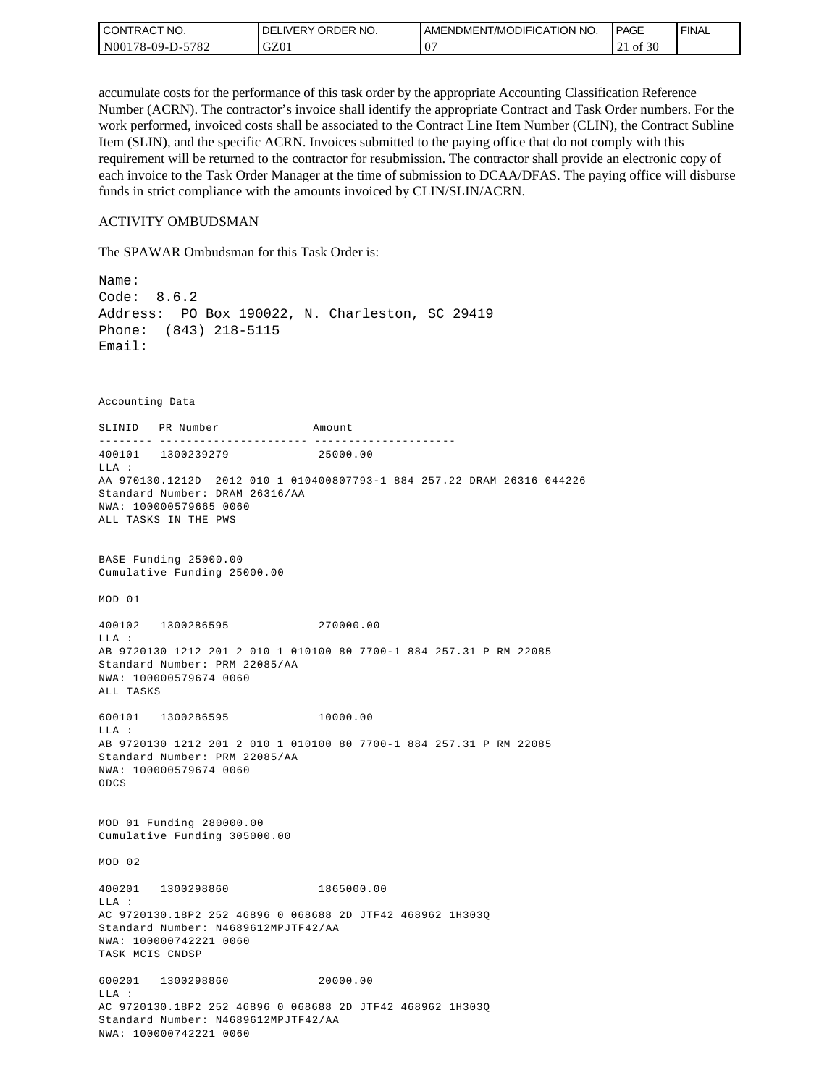| l CON <sup>-</sup><br>TRACT NO. | ORDER NO.<br>_IVERY<br>DELI | AMENDMENT/MODIFICATION NO. | <b>PAGE</b>            | ' FINAL |
|---------------------------------|-----------------------------|----------------------------|------------------------|---------|
| -5782<br>N00178-09-D-57         | GZ01                        | $\mathbf v$                | 0.20<br>0Ī<br>3U<br>∠⊥ |         |

accumulate costs for the performance of this task order by the appropriate Accounting Classification Reference Number (ACRN). The contractor's invoice shall identify the appropriate Contract and Task Order numbers. For the work performed, invoiced costs shall be associated to the Contract Line Item Number (CLIN), the Contract Subline Item (SLIN), and the specific ACRN. Invoices submitted to the paying office that do not comply with this requirement will be returned to the contractor for resubmission. The contractor shall provide an electronic copy of each invoice to the Task Order Manager at the time of submission to DCAA/DFAS. The paying office will disburse funds in strict compliance with the amounts invoiced by CLIN/SLIN/ACRN.

#### ACTIVITY OMBUDSMAN

The SPAWAR Ombudsman for this Task Order is:

Name: Code: 8.6.2 Address: PO Box 190022, N. Charleston, SC 29419 Phone: (843) 218-5115 Email: Accounting Data SLINID PR Number Amount -------- ---------------------- ---------------------400101 1300239279 25000.00 LLA : AA 970130.1212D 2012 010 1 010400807793-1 884 257.22 DRAM 26316 044226 Standard Number: DRAM 26316/AA NWA: 100000579665 0060 ALL TASKS IN THE PWS BASE Funding 25000.00 Cumulative Funding 25000.00 MOD 01 400102 1300286595 270000.00  $T.T.A$  : AB 9720130 1212 201 2 010 1 010100 80 7700-1 884 257.31 P RM 22085 Standard Number: PRM 22085/AA NWA: 100000579674 0060 ALL TASKS 600101 1300286595 10000.00 LLA : AB 9720130 1212 201 2 010 1 010100 80 7700-1 884 257.31 P RM 22085 Standard Number: PRM 22085/AA NWA: 100000579674 0060 ODCS MOD 01 Funding 280000.00 Cumulative Funding 305000.00 MOD 02 400201 1300298860 1865000.00 LLA : AC 9720130.18P2 252 46896 0 068688 2D JTF42 468962 1H303Q Standard Number: N4689612MPJTF42/AA NWA: 100000742221 0060 TASK MCIS CNDSP 600201 1300298860 20000.00 LLA : AC 9720130.18P2 252 46896 0 068688 2D JTF42 468962 1H303Q Standard Number: N4689612MPJTF42/AA NWA: 100000742221 0060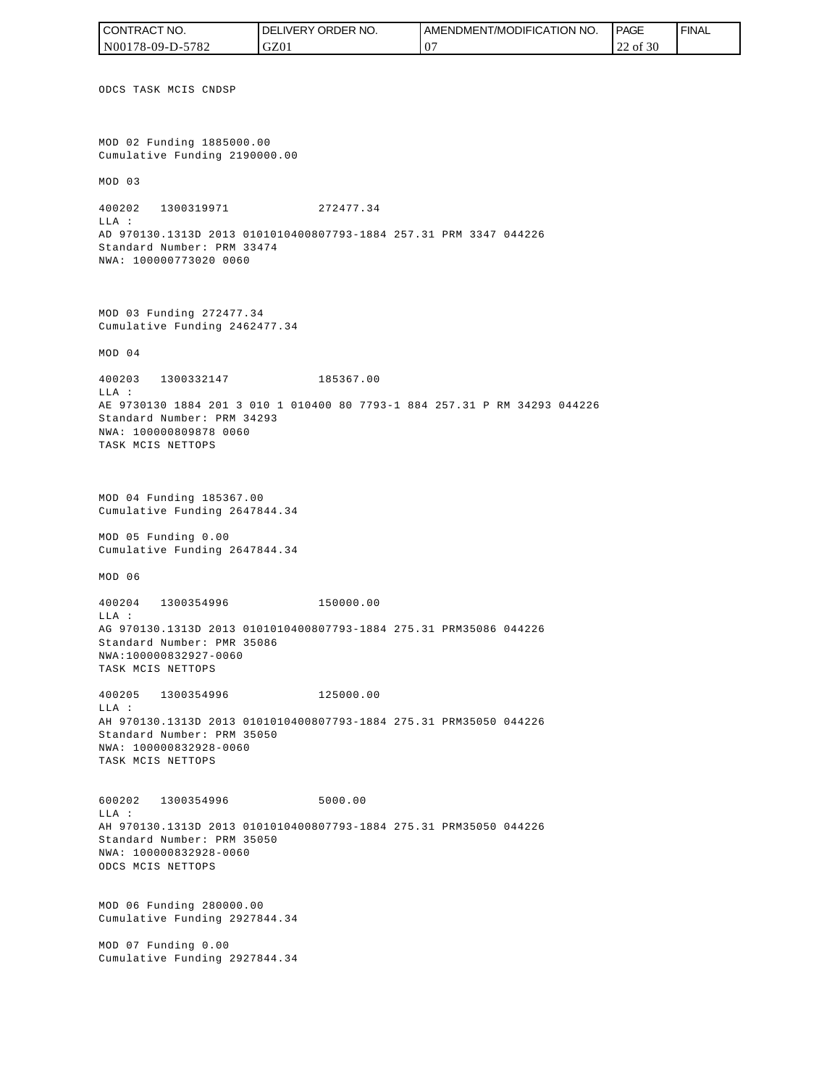ODCS TASK MCIS CNDSP MOD 02 Funding 1885000.00 Cumulative Funding 2190000.00 MOD 03 400202 1300319971 272477.34 LLA : AD 970130.1313D 2013 0101010400807793-1884 257.31 PRM 3347 044226 Standard Number: PRM 33474 NWA: 100000773020 0060 MOD 03 Funding 272477.34 Cumulative Funding 2462477.34 MOD 04 400203 1300332147 185367.00 LLA : AE 9730130 1884 201 3 010 1 010400 80 7793-1 884 257.31 P RM 34293 044226 Standard Number: PRM 34293 NWA: 100000809878 0060 TASK MCIS NETTOPS MOD 04 Funding 185367.00 Cumulative Funding 2647844.34 MOD 05 Funding 0.00 Cumulative Funding 2647844.34 MOD 06 400204 1300354996 150000.00 LLA : AG 970130.1313D 2013 0101010400807793-1884 275.31 PRM35086 044226 Standard Number: PMR 35086 NWA:100000832927-0060 TASK MCIS NETTOPS 400205 1300354996 125000.00 LLA : AH 970130.1313D 2013 0101010400807793-1884 275.31 PRM35050 044226 Standard Number: PRM 35050 NWA: 100000832928-0060 TASK MCIS NETTOPS 600202 1300354996 5000.00 LLA : AH 970130.1313D 2013 0101010400807793-1884 275.31 PRM35050 044226 Standard Number: PRM 35050 NWA: 100000832928-0060 ODCS MCIS NETTOPS MOD 06 Funding 280000.00 Cumulative Funding 2927844.34 MOD 07 Funding 0.00 Cumulative Funding 2927844.34 CONTRACT NO. N00178-09-D-5782 DELIVERY ORDER NO. GZ01 AMENDMENT/MODIFICATION NO. 07 **PAGE**  22 of 30 **FINAL**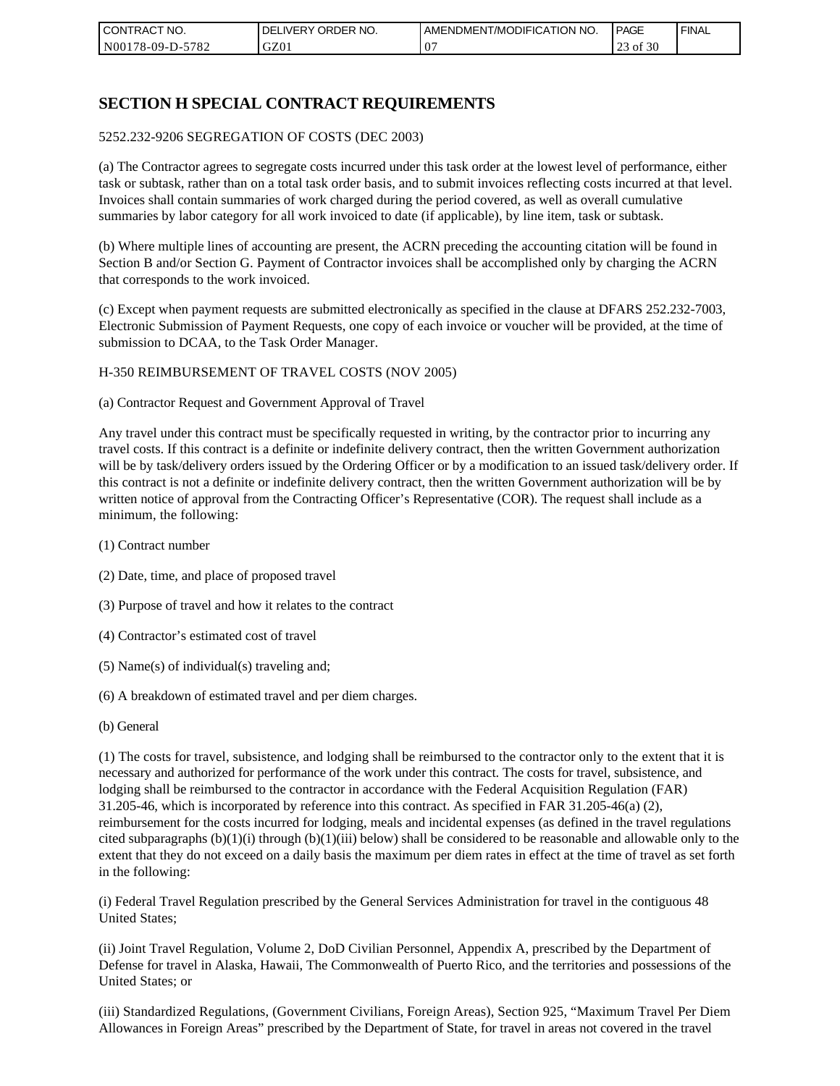| I CON'<br>'TRACT NO.     | NO.<br>ORDER<br>DELIVERY | AMENDMENT/MODIFICATION NO. | <b>I PAGE</b>         | ' FINAL |
|--------------------------|--------------------------|----------------------------|-----------------------|---------|
| N00178-09-D-5<br>$-5782$ | GZ01                     | 00                         | of 30<br>$\sim$<br>رے |         |

# **SECTION H SPECIAL CONTRACT REQUIREMENTS**

#### 5252.232-9206 SEGREGATION OF COSTS (DEC 2003)

(a) The Contractor agrees to segregate costs incurred under this task order at the lowest level of performance, either task or subtask, rather than on a total task order basis, and to submit invoices reflecting costs incurred at that level. Invoices shall contain summaries of work charged during the period covered, as well as overall cumulative summaries by labor category for all work invoiced to date (if applicable), by line item, task or subtask.

(b) Where multiple lines of accounting are present, the ACRN preceding the accounting citation will be found in Section B and/or Section G. Payment of Contractor invoices shall be accomplished only by charging the ACRN that corresponds to the work invoiced.

(c) Except when payment requests are submitted electronically as specified in the clause at DFARS 252.232-7003, Electronic Submission of Payment Requests, one copy of each invoice or voucher will be provided, at the time of submission to DCAA, to the Task Order Manager.

#### H-350 REIMBURSEMENT OF TRAVEL COSTS (NOV 2005)

(a) Contractor Request and Government Approval of Travel

Any travel under this contract must be specifically requested in writing, by the contractor prior to incurring any travel costs. If this contract is a definite or indefinite delivery contract, then the written Government authorization will be by task/delivery orders issued by the Ordering Officer or by a modification to an issued task/delivery order. If this contract is not a definite or indefinite delivery contract, then the written Government authorization will be by written notice of approval from the Contracting Officer's Representative (COR). The request shall include as a minimum, the following:

- (1) Contract number
- (2) Date, time, and place of proposed travel
- (3) Purpose of travel and how it relates to the contract
- (4) Contractor's estimated cost of travel
- (5) Name(s) of individual(s) traveling and;
- (6) A breakdown of estimated travel and per diem charges.
- (b) General

(1) The costs for travel, subsistence, and lodging shall be reimbursed to the contractor only to the extent that it is necessary and authorized for performance of the work under this contract. The costs for travel, subsistence, and lodging shall be reimbursed to the contractor in accordance with the Federal Acquisition Regulation (FAR) 31.205-46, which is incorporated by reference into this contract. As specified in FAR 31.205-46(a) (2), reimbursement for the costs incurred for lodging, meals and incidental expenses (as defined in the travel regulations cited subparagraphs  $(b)(1)(i)$  through  $(b)(1)(iii)$  below) shall be considered to be reasonable and allowable only to the extent that they do not exceed on a daily basis the maximum per diem rates in effect at the time of travel as set forth in the following:

(i) Federal Travel Regulation prescribed by the General Services Administration for travel in the contiguous 48 United States;

(ii) Joint Travel Regulation, Volume 2, DoD Civilian Personnel, Appendix A, prescribed by the Department of Defense for travel in Alaska, Hawaii, The Commonwealth of Puerto Rico, and the territories and possessions of the United States; or

(iii) Standardized Regulations, (Government Civilians, Foreign Areas), Section 925, "Maximum Travel Per Diem Allowances in Foreign Areas" prescribed by the Department of State, for travel in areas not covered in the travel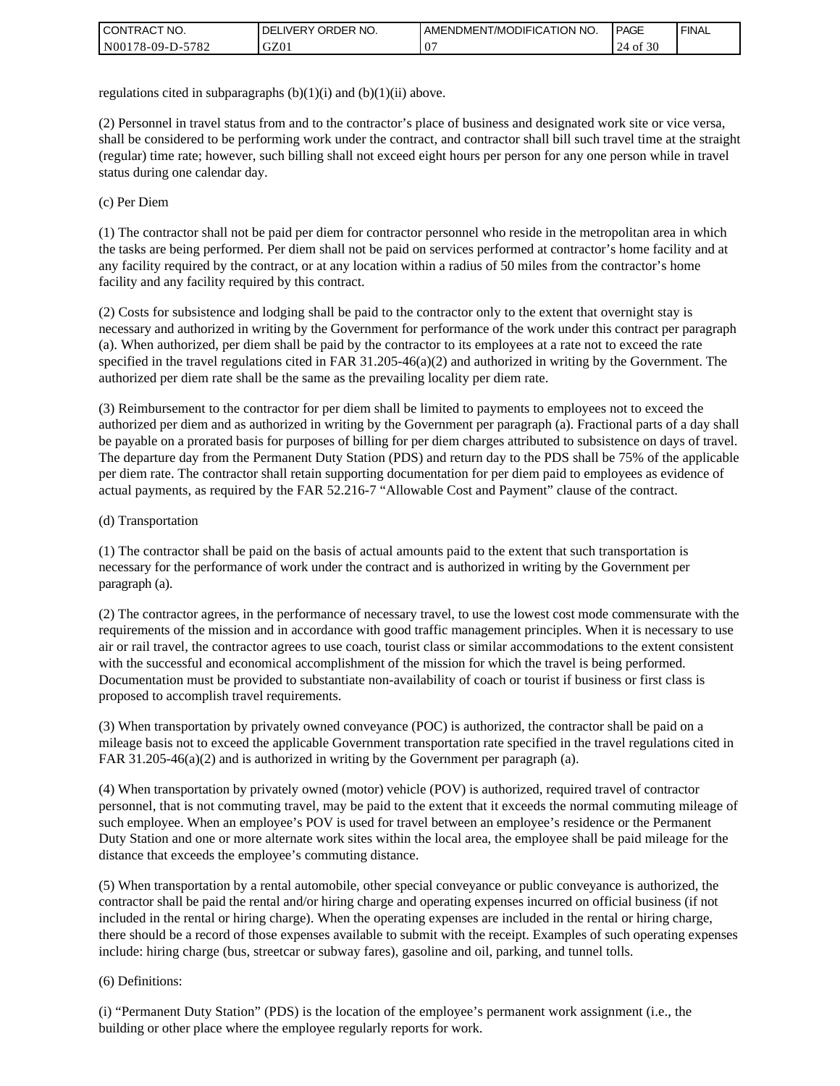| I CONTRACT NO.   | ' ORDER NO.<br><b>DELIVERY</b> | <b>I AMENDMENT/MODIFICATION NO.</b> | <b>PAGE</b> | <b>FINAL</b> |
|------------------|--------------------------------|-------------------------------------|-------------|--------------|
| N00178-09-D-5782 | GZ01                           | $\Omega$<br>٠.                      | of 30<br>24 |              |

regulations cited in subparagraphs  $(b)(1)(i)$  and  $(b)(1)(ii)$  above.

(2) Personnel in travel status from and to the contractor's place of business and designated work site or vice versa, shall be considered to be performing work under the contract, and contractor shall bill such travel time at the straight (regular) time rate; however, such billing shall not exceed eight hours per person for any one person while in travel status during one calendar day.

(c) Per Diem

(1) The contractor shall not be paid per diem for contractor personnel who reside in the metropolitan area in which the tasks are being performed. Per diem shall not be paid on services performed at contractor's home facility and at any facility required by the contract, or at any location within a radius of 50 miles from the contractor's home facility and any facility required by this contract.

(2) Costs for subsistence and lodging shall be paid to the contractor only to the extent that overnight stay is necessary and authorized in writing by the Government for performance of the work under this contract per paragraph (a). When authorized, per diem shall be paid by the contractor to its employees at a rate not to exceed the rate specified in the travel regulations cited in FAR 31.205-46(a)(2) and authorized in writing by the Government. The authorized per diem rate shall be the same as the prevailing locality per diem rate.

(3) Reimbursement to the contractor for per diem shall be limited to payments to employees not to exceed the authorized per diem and as authorized in writing by the Government per paragraph (a). Fractional parts of a day shall be payable on a prorated basis for purposes of billing for per diem charges attributed to subsistence on days of travel. The departure day from the Permanent Duty Station (PDS) and return day to the PDS shall be 75% of the applicable per diem rate. The contractor shall retain supporting documentation for per diem paid to employees as evidence of actual payments, as required by the FAR 52.216-7 "Allowable Cost and Payment" clause of the contract.

#### (d) Transportation

(1) The contractor shall be paid on the basis of actual amounts paid to the extent that such transportation is necessary for the performance of work under the contract and is authorized in writing by the Government per paragraph (a).

(2) The contractor agrees, in the performance of necessary travel, to use the lowest cost mode commensurate with the requirements of the mission and in accordance with good traffic management principles. When it is necessary to use air or rail travel, the contractor agrees to use coach, tourist class or similar accommodations to the extent consistent with the successful and economical accomplishment of the mission for which the travel is being performed. Documentation must be provided to substantiate non-availability of coach or tourist if business or first class is proposed to accomplish travel requirements.

(3) When transportation by privately owned conveyance (POC) is authorized, the contractor shall be paid on a mileage basis not to exceed the applicable Government transportation rate specified in the travel regulations cited in FAR 31.205-46(a)(2) and is authorized in writing by the Government per paragraph (a).

(4) When transportation by privately owned (motor) vehicle (POV) is authorized, required travel of contractor personnel, that is not commuting travel, may be paid to the extent that it exceeds the normal commuting mileage of such employee. When an employee's POV is used for travel between an employee's residence or the Permanent Duty Station and one or more alternate work sites within the local area, the employee shall be paid mileage for the distance that exceeds the employee's commuting distance.

(5) When transportation by a rental automobile, other special conveyance or public conveyance is authorized, the contractor shall be paid the rental and/or hiring charge and operating expenses incurred on official business (if not included in the rental or hiring charge). When the operating expenses are included in the rental or hiring charge, there should be a record of those expenses available to submit with the receipt. Examples of such operating expenses include: hiring charge (bus, streetcar or subway fares), gasoline and oil, parking, and tunnel tolls.

#### (6) Definitions:

(i) "Permanent Duty Station" (PDS) is the location of the employee's permanent work assignment (i.e., the building or other place where the employee regularly reports for work.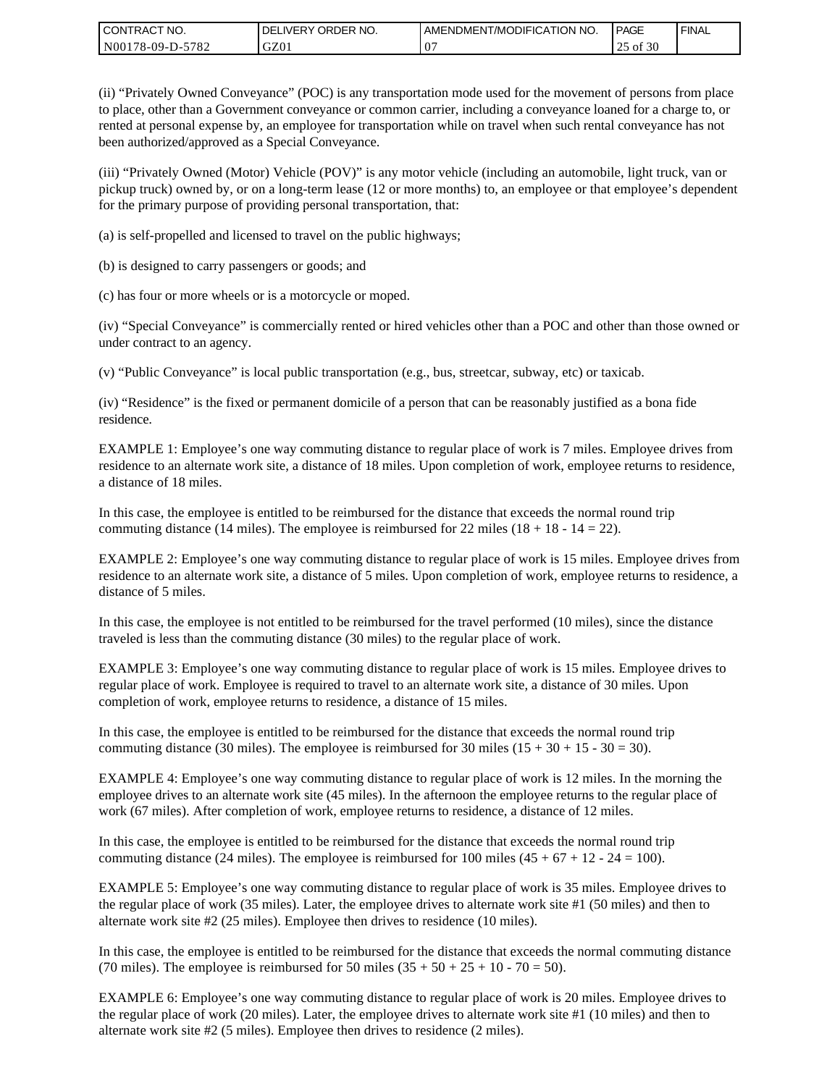| I CONTRACT NO.   | DELIVERY ORDER NO. | <b>LAMENDMENT/MODIFICATION NO.</b> | PAGE              | ' FINAL |
|------------------|--------------------|------------------------------------|-------------------|---------|
| N00178-09-D-5782 | GZ01               | ٠.                                 | of 30<br>າເ<br>رے |         |

(ii) "Privately Owned Conveyance" (POC) is any transportation mode used for the movement of persons from place to place, other than a Government conveyance or common carrier, including a conveyance loaned for a charge to, or rented at personal expense by, an employee for transportation while on travel when such rental conveyance has not been authorized/approved as a Special Conveyance.

(iii) "Privately Owned (Motor) Vehicle (POV)" is any motor vehicle (including an automobile, light truck, van or pickup truck) owned by, or on a long-term lease (12 or more months) to, an employee or that employee's dependent for the primary purpose of providing personal transportation, that:

(a) is self-propelled and licensed to travel on the public highways;

(b) is designed to carry passengers or goods; and

(c) has four or more wheels or is a motorcycle or moped.

(iv) "Special Conveyance" is commercially rented or hired vehicles other than a POC and other than those owned or under contract to an agency.

(v) "Public Conveyance" is local public transportation (e.g., bus, streetcar, subway, etc) or taxicab.

(iv) "Residence" is the fixed or permanent domicile of a person that can be reasonably justified as a bona fide residence.

EXAMPLE 1: Employee's one way commuting distance to regular place of work is 7 miles. Employee drives from residence to an alternate work site, a distance of 18 miles. Upon completion of work, employee returns to residence, a distance of 18 miles.

In this case, the employee is entitled to be reimbursed for the distance that exceeds the normal round trip commuting distance (14 miles). The employee is reimbursed for 22 miles (18 + 18 - 14 = 22).

EXAMPLE 2: Employee's one way commuting distance to regular place of work is 15 miles. Employee drives from residence to an alternate work site, a distance of 5 miles. Upon completion of work, employee returns to residence, a distance of 5 miles.

In this case, the employee is not entitled to be reimbursed for the travel performed (10 miles), since the distance traveled is less than the commuting distance (30 miles) to the regular place of work.

EXAMPLE 3: Employee's one way commuting distance to regular place of work is 15 miles. Employee drives to regular place of work. Employee is required to travel to an alternate work site, a distance of 30 miles. Upon completion of work, employee returns to residence, a distance of 15 miles.

In this case, the employee is entitled to be reimbursed for the distance that exceeds the normal round trip commuting distance (30 miles). The employee is reimbursed for 30 miles  $(15 + 30 + 15 - 30 = 30)$ .

EXAMPLE 4: Employee's one way commuting distance to regular place of work is 12 miles. In the morning the employee drives to an alternate work site (45 miles). In the afternoon the employee returns to the regular place of work (67 miles). After completion of work, employee returns to residence, a distance of 12 miles.

In this case, the employee is entitled to be reimbursed for the distance that exceeds the normal round trip commuting distance (24 miles). The employee is reimbursed for 100 miles  $(45 + 67 + 12 - 24 = 100)$ .

EXAMPLE 5: Employee's one way commuting distance to regular place of work is 35 miles. Employee drives to the regular place of work (35 miles). Later, the employee drives to alternate work site #1 (50 miles) and then to alternate work site #2 (25 miles). Employee then drives to residence (10 miles).

In this case, the employee is entitled to be reimbursed for the distance that exceeds the normal commuting distance (70 miles). The employee is reimbursed for 50 miles  $(35 + 50 + 25 + 10 - 70 = 50)$ .

EXAMPLE 6: Employee's one way commuting distance to regular place of work is 20 miles. Employee drives to the regular place of work (20 miles). Later, the employee drives to alternate work site #1 (10 miles) and then to alternate work site #2 (5 miles). Employee then drives to residence (2 miles).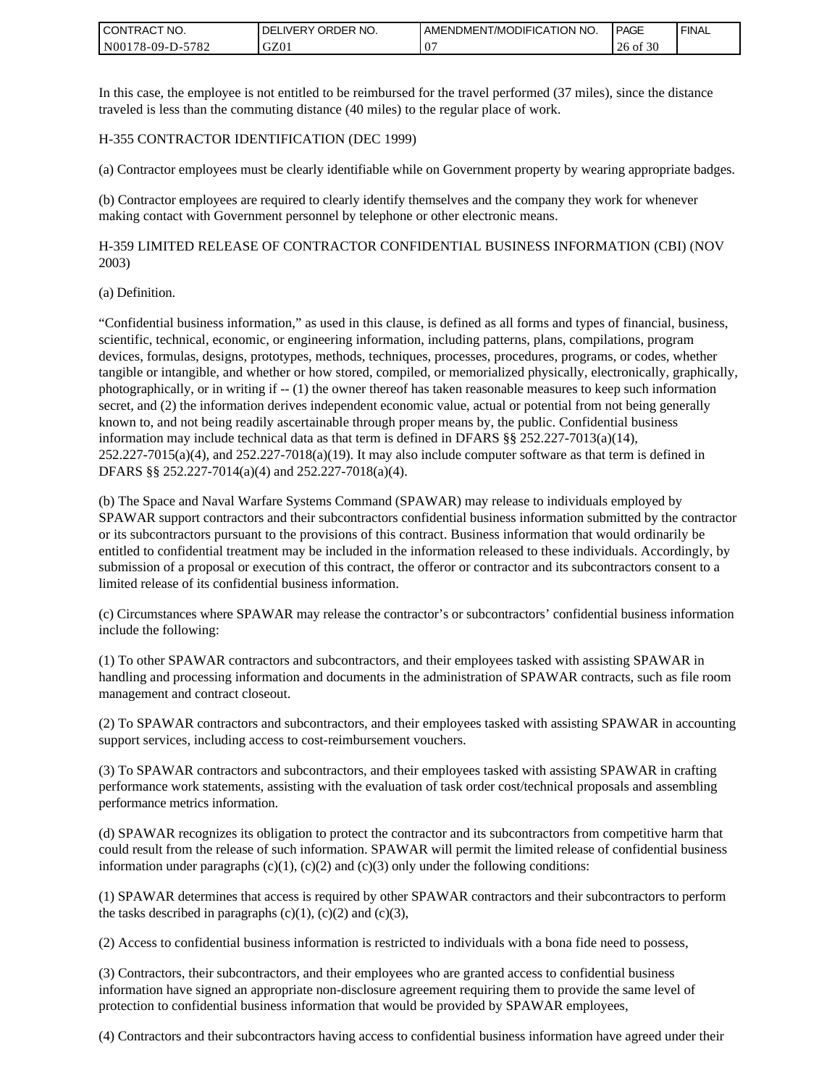| <b>CONTRACT NO.</b> | ' ORDER NO.<br><b>DELIVERY</b> | I AMENDMENT/MODIFICATION NO. | PAGE        | ' FINAL |
|---------------------|--------------------------------|------------------------------|-------------|---------|
| N00178-09-D-5782    | GZ01                           | ٠.                           | of 30<br>26 |         |

In this case, the employee is not entitled to be reimbursed for the travel performed (37 miles), since the distance traveled is less than the commuting distance (40 miles) to the regular place of work.

#### H-355 CONTRACTOR IDENTIFICATION (DEC 1999)

(a) Contractor employees must be clearly identifiable while on Government property by wearing appropriate badges.

(b) Contractor employees are required to clearly identify themselves and the company they work for whenever making contact with Government personnel by telephone or other electronic means.

H-359 LIMITED RELEASE OF CONTRACTOR CONFIDENTIAL BUSINESS INFORMATION (CBI) (NOV 2003)

#### (a) Definition.

"Confidential business information," as used in this clause, is defined as all forms and types of financial, business, scientific, technical, economic, or engineering information, including patterns, plans, compilations, program devices, formulas, designs, prototypes, methods, techniques, processes, procedures, programs, or codes, whether tangible or intangible, and whether or how stored, compiled, or memorialized physically, electronically, graphically, photographically, or in writing if -- (1) the owner thereof has taken reasonable measures to keep such information secret, and (2) the information derives independent economic value, actual or potential from not being generally known to, and not being readily ascertainable through proper means by, the public. Confidential business information may include technical data as that term is defined in DFARS §§ 252.227-7013(a)(14),  $252.227-7015(a)(4)$ , and  $252.227-7018(a)(19)$ . It may also include computer software as that term is defined in DFARS §§ 252.227-7014(a)(4) and 252.227-7018(a)(4).

(b) The Space and Naval Warfare Systems Command (SPAWAR) may release to individuals employed by SPAWAR support contractors and their subcontractors confidential business information submitted by the contractor or its subcontractors pursuant to the provisions of this contract. Business information that would ordinarily be entitled to confidential treatment may be included in the information released to these individuals. Accordingly, by submission of a proposal or execution of this contract, the offeror or contractor and its subcontractors consent to a limited release of its confidential business information.

(c) Circumstances where SPAWAR may release the contractor's or subcontractors' confidential business information include the following:

(1) To other SPAWAR contractors and subcontractors, and their employees tasked with assisting SPAWAR in handling and processing information and documents in the administration of SPAWAR contracts, such as file room management and contract closeout.

(2) To SPAWAR contractors and subcontractors, and their employees tasked with assisting SPAWAR in accounting support services, including access to cost-reimbursement vouchers.

(3) To SPAWAR contractors and subcontractors, and their employees tasked with assisting SPAWAR in crafting performance work statements, assisting with the evaluation of task order cost/technical proposals and assembling performance metrics information.

(d) SPAWAR recognizes its obligation to protect the contractor and its subcontractors from competitive harm that could result from the release of such information. SPAWAR will permit the limited release of confidential business information under paragraphs  $(c)(1)$ ,  $(c)(2)$  and  $(c)(3)$  only under the following conditions:

(1) SPAWAR determines that access is required by other SPAWAR contractors and their subcontractors to perform the tasks described in paragraphs  $(c)(1)$ ,  $(c)(2)$  and  $(c)(3)$ ,

(2) Access to confidential business information is restricted to individuals with a bona fide need to possess,

(3) Contractors, their subcontractors, and their employees who are granted access to confidential business information have signed an appropriate non-disclosure agreement requiring them to provide the same level of protection to confidential business information that would be provided by SPAWAR employees,

(4) Contractors and their subcontractors having access to confidential business information have agreed under their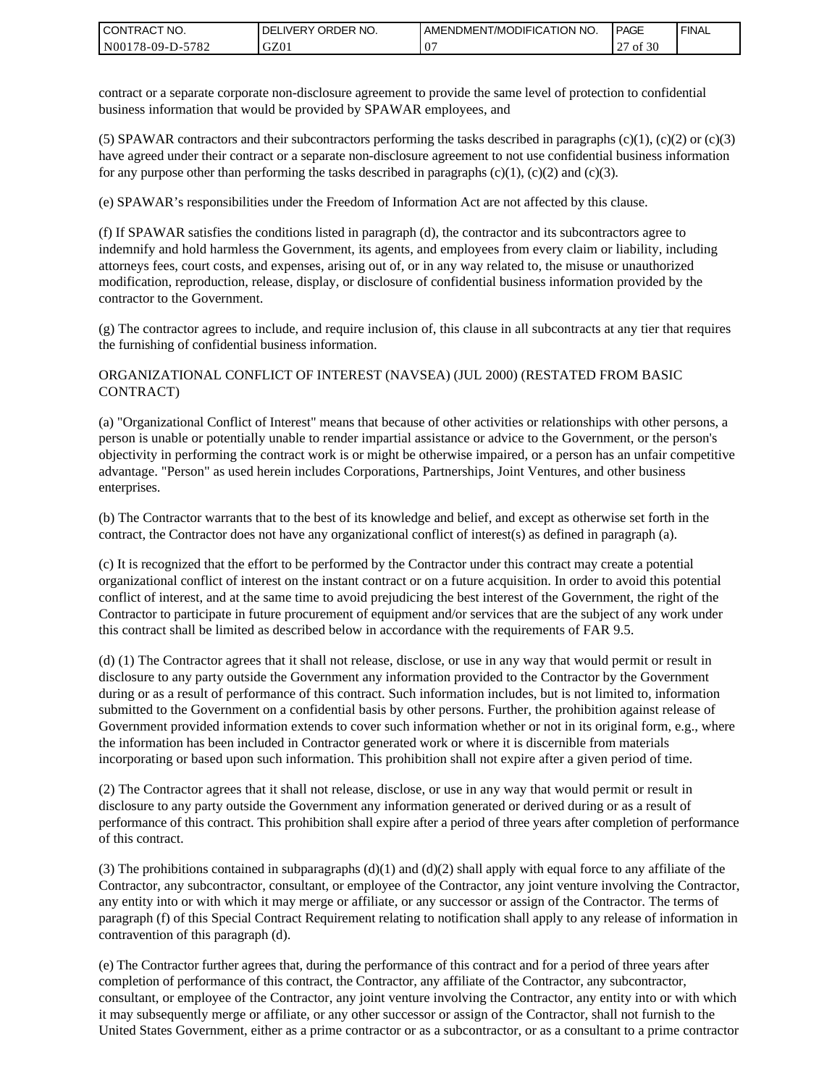| <b>CONTRACT NO.</b> | ' ORDER NO.<br><b>DELIVERY</b> | AMENDMENT/MODIFICATION NO. | <b>PAGE</b>               | ' FINAL |
|---------------------|--------------------------------|----------------------------|---------------------------|---------|
| N00178-09-D-5782    | GZ01                           | ω.                         | f 30<br>$\sim$<br>оf<br>" |         |

contract or a separate corporate non-disclosure agreement to provide the same level of protection to confidential business information that would be provided by SPAWAR employees, and

(5) SPAWAR contractors and their subcontractors performing the tasks described in paragraphs  $(c)(1)$ ,  $(c)(2)$  or  $(c)(3)$ have agreed under their contract or a separate non-disclosure agreement to not use confidential business information for any purpose other than performing the tasks described in paragraphs  $(c)(1)$ ,  $(c)(2)$  and  $(c)(3)$ .

(e) SPAWAR's responsibilities under the Freedom of Information Act are not affected by this clause.

(f) If SPAWAR satisfies the conditions listed in paragraph (d), the contractor and its subcontractors agree to indemnify and hold harmless the Government, its agents, and employees from every claim or liability, including attorneys fees, court costs, and expenses, arising out of, or in any way related to, the misuse or unauthorized modification, reproduction, release, display, or disclosure of confidential business information provided by the contractor to the Government.

(g) The contractor agrees to include, and require inclusion of, this clause in all subcontracts at any tier that requires the furnishing of confidential business information.

#### ORGANIZATIONAL CONFLICT OF INTEREST (NAVSEA) (JUL 2000) (RESTATED FROM BASIC CONTRACT)

(a) "Organizational Conflict of Interest" means that because of other activities or relationships with other persons, a person is unable or potentially unable to render impartial assistance or advice to the Government, or the person's objectivity in performing the contract work is or might be otherwise impaired, or a person has an unfair competitive advantage. "Person" as used herein includes Corporations, Partnerships, Joint Ventures, and other business enterprises.

(b) The Contractor warrants that to the best of its knowledge and belief, and except as otherwise set forth in the contract, the Contractor does not have any organizational conflict of interest(s) as defined in paragraph (a).

(c) It is recognized that the effort to be performed by the Contractor under this contract may create a potential organizational conflict of interest on the instant contract or on a future acquisition. In order to avoid this potential conflict of interest, and at the same time to avoid prejudicing the best interest of the Government, the right of the Contractor to participate in future procurement of equipment and/or services that are the subject of any work under this contract shall be limited as described below in accordance with the requirements of FAR 9.5.

(d) (1) The Contractor agrees that it shall not release, disclose, or use in any way that would permit or result in disclosure to any party outside the Government any information provided to the Contractor by the Government during or as a result of performance of this contract. Such information includes, but is not limited to, information submitted to the Government on a confidential basis by other persons. Further, the prohibition against release of Government provided information extends to cover such information whether or not in its original form, e.g., where the information has been included in Contractor generated work or where it is discernible from materials incorporating or based upon such information. This prohibition shall not expire after a given period of time.

(2) The Contractor agrees that it shall not release, disclose, or use in any way that would permit or result in disclosure to any party outside the Government any information generated or derived during or as a result of performance of this contract. This prohibition shall expire after a period of three years after completion of performance of this contract.

(3) The prohibitions contained in subparagraphs  $(d)(1)$  and  $(d)(2)$  shall apply with equal force to any affiliate of the Contractor, any subcontractor, consultant, or employee of the Contractor, any joint venture involving the Contractor, any entity into or with which it may merge or affiliate, or any successor or assign of the Contractor. The terms of paragraph (f) of this Special Contract Requirement relating to notification shall apply to any release of information in contravention of this paragraph (d).

(e) The Contractor further agrees that, during the performance of this contract and for a period of three years after completion of performance of this contract, the Contractor, any affiliate of the Contractor, any subcontractor, consultant, or employee of the Contractor, any joint venture involving the Contractor, any entity into or with which it may subsequently merge or affiliate, or any other successor or assign of the Contractor, shall not furnish to the United States Government, either as a prime contractor or as a subcontractor, or as a consultant to a prime contractor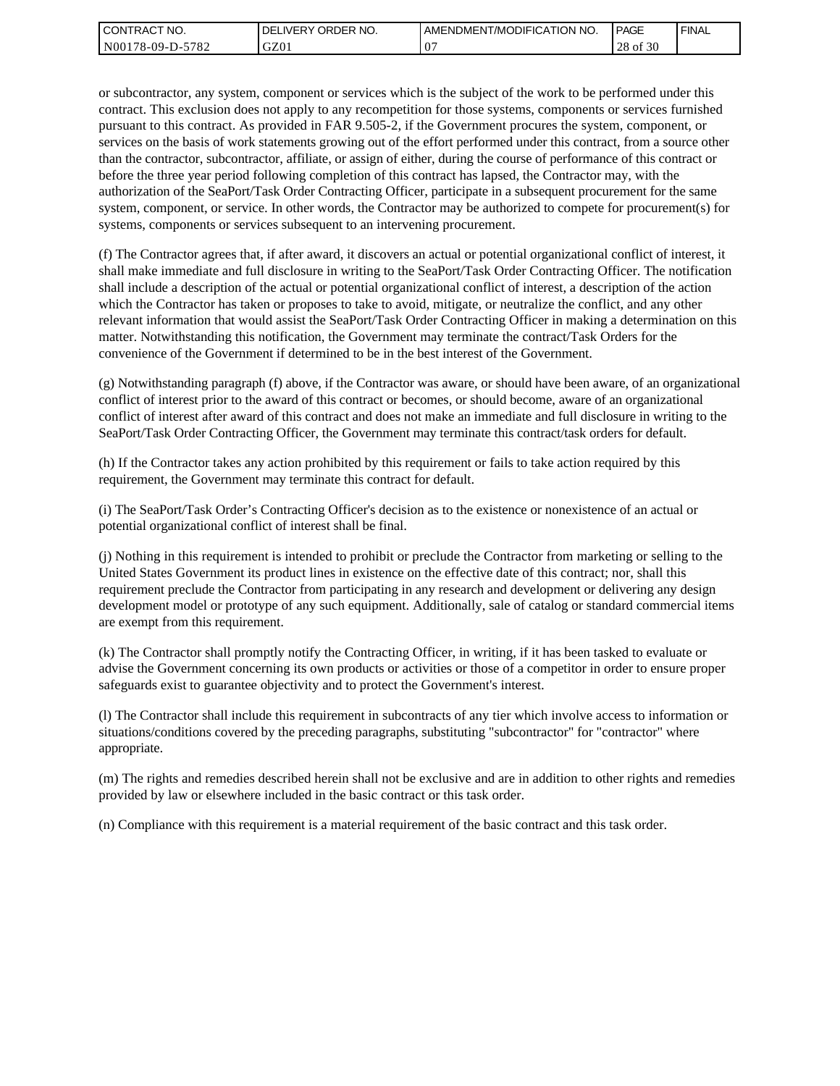| l CON <sup>-</sup><br>'TRACT NO. | NO.<br>ORDER<br>.IVERY<br>DELI | AMENDMENT/MODIFICATION NO. | <b>PAGE</b>             | ' FINAL |
|----------------------------------|--------------------------------|----------------------------|-------------------------|---------|
| N00178-09-D-5<br>5782            | GZ01                           | $\mathbf{C}^{\prime}$      | 0.20<br>28<br>0Ī<br>-30 |         |

or subcontractor, any system, component or services which is the subject of the work to be performed under this contract. This exclusion does not apply to any recompetition for those systems, components or services furnished pursuant to this contract. As provided in FAR 9.505-2, if the Government procures the system, component, or services on the basis of work statements growing out of the effort performed under this contract, from a source other than the contractor, subcontractor, affiliate, or assign of either, during the course of performance of this contract or before the three year period following completion of this contract has lapsed, the Contractor may, with the authorization of the SeaPort/Task Order Contracting Officer, participate in a subsequent procurement for the same system, component, or service. In other words, the Contractor may be authorized to compete for procurement(s) for systems, components or services subsequent to an intervening procurement.

(f) The Contractor agrees that, if after award, it discovers an actual or potential organizational conflict of interest, it shall make immediate and full disclosure in writing to the SeaPort/Task Order Contracting Officer. The notification shall include a description of the actual or potential organizational conflict of interest, a description of the action which the Contractor has taken or proposes to take to avoid, mitigate, or neutralize the conflict, and any other relevant information that would assist the SeaPort/Task Order Contracting Officer in making a determination on this matter. Notwithstanding this notification, the Government may terminate the contract/Task Orders for the convenience of the Government if determined to be in the best interest of the Government.

(g) Notwithstanding paragraph (f) above, if the Contractor was aware, or should have been aware, of an organizational conflict of interest prior to the award of this contract or becomes, or should become, aware of an organizational conflict of interest after award of this contract and does not make an immediate and full disclosure in writing to the SeaPort/Task Order Contracting Officer, the Government may terminate this contract/task orders for default.

(h) If the Contractor takes any action prohibited by this requirement or fails to take action required by this requirement, the Government may terminate this contract for default.

(i) The SeaPort/Task Order's Contracting Officer's decision as to the existence or nonexistence of an actual or potential organizational conflict of interest shall be final.

(j) Nothing in this requirement is intended to prohibit or preclude the Contractor from marketing or selling to the United States Government its product lines in existence on the effective date of this contract; nor, shall this requirement preclude the Contractor from participating in any research and development or delivering any design development model or prototype of any such equipment. Additionally, sale of catalog or standard commercial items are exempt from this requirement.

(k) The Contractor shall promptly notify the Contracting Officer, in writing, if it has been tasked to evaluate or advise the Government concerning its own products or activities or those of a competitor in order to ensure proper safeguards exist to guarantee objectivity and to protect the Government's interest.

(l) The Contractor shall include this requirement in subcontracts of any tier which involve access to information or situations/conditions covered by the preceding paragraphs, substituting "subcontractor" for "contractor" where appropriate.

(m) The rights and remedies described herein shall not be exclusive and are in addition to other rights and remedies provided by law or elsewhere included in the basic contract or this task order.

(n) Compliance with this requirement is a material requirement of the basic contract and this task order.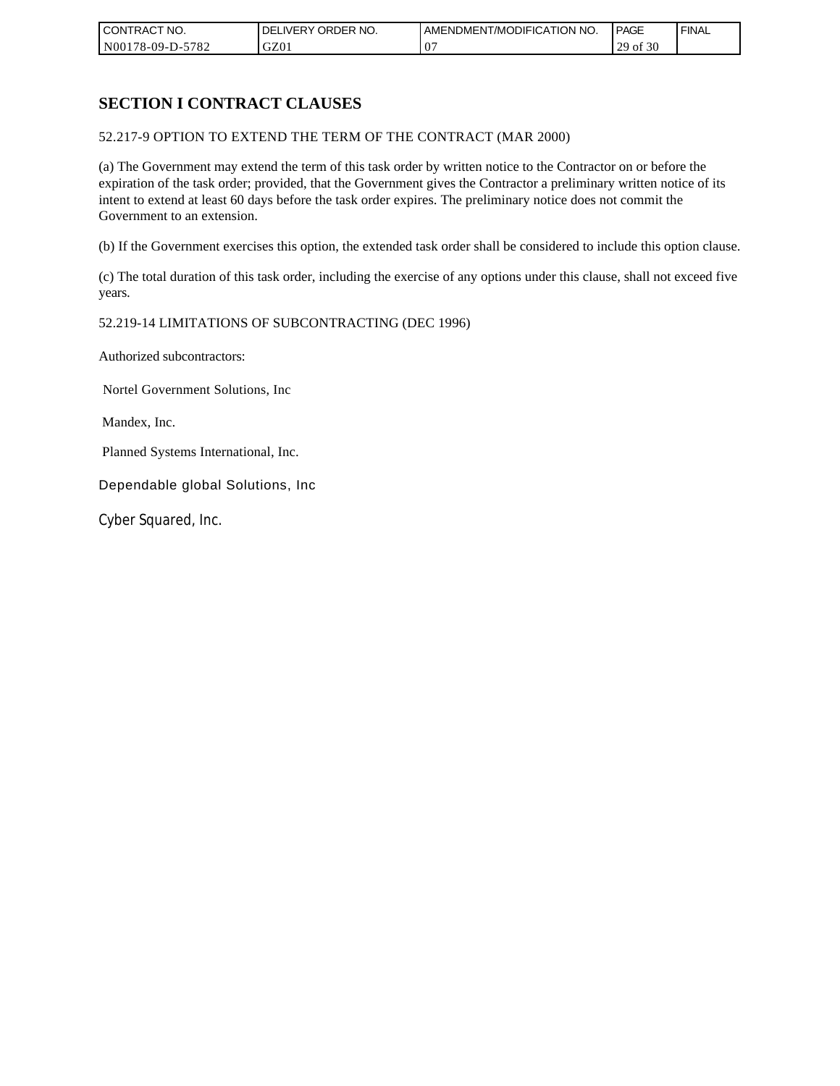| CONTRACT NO.     | ORDER <sup>'</sup><br>NO.<br><b>DELIVERY</b> | AMENDMENT/MODIFICATION NO. | PAGE                            | <b>FINAL</b> |
|------------------|----------------------------------------------|----------------------------|---------------------------------|--------------|
| N00178-09-D-5782 | GZ01                                         | 07<br>◡                    | $\cdot$ f 30<br>20<br>0Ì<br>ر ب |              |

# **SECTION I CONTRACT CLAUSES**

52.217-9 OPTION TO EXTEND THE TERM OF THE CONTRACT (MAR 2000)

(a) The Government may extend the term of this task order by written notice to the Contractor on or before the expiration of the task order; provided, that the Government gives the Contractor a preliminary written notice of its intent to extend at least 60 days before the task order expires. The preliminary notice does not commit the Government to an extension.

(b) If the Government exercises this option, the extended task order shall be considered to include this option clause.

(c) The total duration of this task order, including the exercise of any options under this clause, shall not exceed five years.

#### 52.219-14 LIMITATIONS OF SUBCONTRACTING (DEC 1996)

Authorized subcontractors:

Nortel Government Solutions, Inc

Mandex, Inc.

Planned Systems International, Inc.

Dependable global Solutions, Inc

Cyber Squared, Inc.